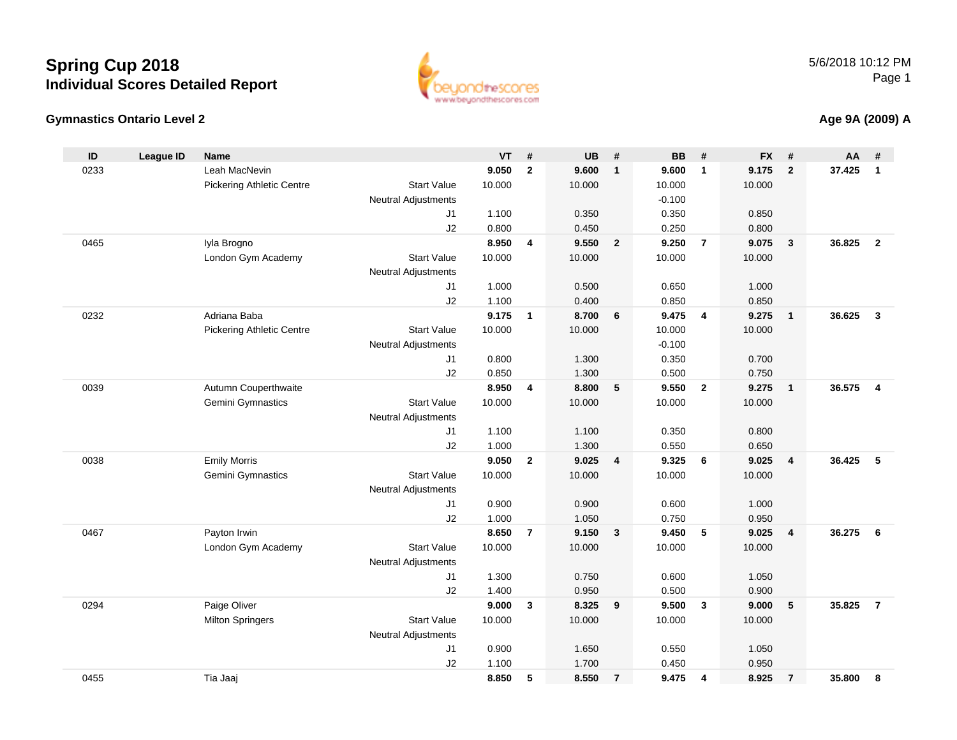



#### **Age 9A (2009) A**

| Leah MacNevin<br>9.600<br>0233<br>9.050<br>$\overline{\mathbf{2}}$<br>9.600<br>$\mathbf{1}$<br>9.175<br>$\overline{2}$<br>37.425<br>$\mathbf{1}$<br><b>Start Value</b><br><b>Pickering Athletic Centre</b><br>10.000<br>10.000<br>10.000<br>10.000<br><b>Neutral Adjustments</b><br>$-0.100$<br>1.100<br>0.350<br>0.350<br>0.850<br>J1<br>J2<br>0.800<br>0.450<br>0.250<br>0.800<br>8.950<br>9.550<br>9.250<br>$\overline{7}$<br>9.075<br>36.825<br>0465<br>Iyla Brogno<br>$\overline{2}$<br>$\mathbf{3}$<br>4<br>10.000<br>10.000<br>London Gym Academy<br><b>Start Value</b><br>10.000<br>10.000<br><b>Neutral Adjustments</b><br>J <sub>1</sub><br>1.000<br>0.500<br>0.650<br>1.000<br>J2<br>1.100<br>0.400<br>0.850<br>0.850<br>9.175<br>9.475<br>0232<br>Adriana Baba<br>8.700<br>9.275<br>36.625<br>$\mathbf{1}$<br>6<br>$\overline{4}$<br>$\overline{1}$<br>10.000<br>10.000<br>10.000<br><b>Pickering Athletic Centre</b><br><b>Start Value</b><br>10.000<br>$-0.100$<br><b>Neutral Adjustments</b><br>0.800<br>1.300<br>0.700<br>J1<br>0.350 | #                       |
|-------------------------------------------------------------------------------------------------------------------------------------------------------------------------------------------------------------------------------------------------------------------------------------------------------------------------------------------------------------------------------------------------------------------------------------------------------------------------------------------------------------------------------------------------------------------------------------------------------------------------------------------------------------------------------------------------------------------------------------------------------------------------------------------------------------------------------------------------------------------------------------------------------------------------------------------------------------------------------------------------------------------------------------------------------|-------------------------|
|                                                                                                                                                                                                                                                                                                                                                                                                                                                                                                                                                                                                                                                                                                                                                                                                                                                                                                                                                                                                                                                       | $\mathbf{1}$            |
|                                                                                                                                                                                                                                                                                                                                                                                                                                                                                                                                                                                                                                                                                                                                                                                                                                                                                                                                                                                                                                                       |                         |
|                                                                                                                                                                                                                                                                                                                                                                                                                                                                                                                                                                                                                                                                                                                                                                                                                                                                                                                                                                                                                                                       |                         |
|                                                                                                                                                                                                                                                                                                                                                                                                                                                                                                                                                                                                                                                                                                                                                                                                                                                                                                                                                                                                                                                       |                         |
|                                                                                                                                                                                                                                                                                                                                                                                                                                                                                                                                                                                                                                                                                                                                                                                                                                                                                                                                                                                                                                                       |                         |
|                                                                                                                                                                                                                                                                                                                                                                                                                                                                                                                                                                                                                                                                                                                                                                                                                                                                                                                                                                                                                                                       | $\overline{2}$          |
|                                                                                                                                                                                                                                                                                                                                                                                                                                                                                                                                                                                                                                                                                                                                                                                                                                                                                                                                                                                                                                                       |                         |
|                                                                                                                                                                                                                                                                                                                                                                                                                                                                                                                                                                                                                                                                                                                                                                                                                                                                                                                                                                                                                                                       |                         |
|                                                                                                                                                                                                                                                                                                                                                                                                                                                                                                                                                                                                                                                                                                                                                                                                                                                                                                                                                                                                                                                       |                         |
|                                                                                                                                                                                                                                                                                                                                                                                                                                                                                                                                                                                                                                                                                                                                                                                                                                                                                                                                                                                                                                                       |                         |
|                                                                                                                                                                                                                                                                                                                                                                                                                                                                                                                                                                                                                                                                                                                                                                                                                                                                                                                                                                                                                                                       | $\overline{3}$          |
|                                                                                                                                                                                                                                                                                                                                                                                                                                                                                                                                                                                                                                                                                                                                                                                                                                                                                                                                                                                                                                                       |                         |
|                                                                                                                                                                                                                                                                                                                                                                                                                                                                                                                                                                                                                                                                                                                                                                                                                                                                                                                                                                                                                                                       |                         |
|                                                                                                                                                                                                                                                                                                                                                                                                                                                                                                                                                                                                                                                                                                                                                                                                                                                                                                                                                                                                                                                       |                         |
| 1.300<br>J2<br>0.850<br>0.500<br>0.750                                                                                                                                                                                                                                                                                                                                                                                                                                                                                                                                                                                                                                                                                                                                                                                                                                                                                                                                                                                                                |                         |
| Autumn Couperthwaite<br>8.950<br>8.800<br>9.550<br>36.575<br>0039<br>5<br>$\overline{2}$<br>9.275<br>4<br>$\overline{1}$                                                                                                                                                                                                                                                                                                                                                                                                                                                                                                                                                                                                                                                                                                                                                                                                                                                                                                                              | $\overline{\mathbf{4}}$ |
| Gemini Gymnastics<br><b>Start Value</b><br>10.000<br>10.000<br>10.000<br>10.000                                                                                                                                                                                                                                                                                                                                                                                                                                                                                                                                                                                                                                                                                                                                                                                                                                                                                                                                                                       |                         |
| <b>Neutral Adjustments</b>                                                                                                                                                                                                                                                                                                                                                                                                                                                                                                                                                                                                                                                                                                                                                                                                                                                                                                                                                                                                                            |                         |
| 1.100<br>1.100<br>0.350<br>0.800<br>J1                                                                                                                                                                                                                                                                                                                                                                                                                                                                                                                                                                                                                                                                                                                                                                                                                                                                                                                                                                                                                |                         |
| J2<br>1.000<br>1.300<br>0.550<br>0.650<br><b>Emily Morris</b><br>9.050<br>9.025<br>9.325<br>9.025<br>36.425<br>0038                                                                                                                                                                                                                                                                                                                                                                                                                                                                                                                                                                                                                                                                                                                                                                                                                                                                                                                                   | 5                       |
| $\overline{2}$<br>6<br>$\overline{\mathbf{4}}$<br>4<br>10.000<br><b>Start Value</b><br>10.000<br>10.000<br>10.000                                                                                                                                                                                                                                                                                                                                                                                                                                                                                                                                                                                                                                                                                                                                                                                                                                                                                                                                     |                         |
| Gemini Gymnastics<br><b>Neutral Adjustments</b>                                                                                                                                                                                                                                                                                                                                                                                                                                                                                                                                                                                                                                                                                                                                                                                                                                                                                                                                                                                                       |                         |
| J <sub>1</sub><br>0.900<br>0.900<br>0.600<br>1.000                                                                                                                                                                                                                                                                                                                                                                                                                                                                                                                                                                                                                                                                                                                                                                                                                                                                                                                                                                                                    |                         |
| J2<br>1.000<br>1.050<br>0.750<br>0.950                                                                                                                                                                                                                                                                                                                                                                                                                                                                                                                                                                                                                                                                                                                                                                                                                                                                                                                                                                                                                |                         |
| Payton Irwin<br>8.650<br>$\overline{7}$<br>9.150<br>9.450<br>5<br>9.025<br>36.275<br>0467<br>$\mathbf{3}$<br>$\overline{\mathbf{4}}$                                                                                                                                                                                                                                                                                                                                                                                                                                                                                                                                                                                                                                                                                                                                                                                                                                                                                                                  | 6                       |
| <b>Start Value</b><br>10.000<br>10.000<br>10.000<br>London Gym Academy<br>10.000                                                                                                                                                                                                                                                                                                                                                                                                                                                                                                                                                                                                                                                                                                                                                                                                                                                                                                                                                                      |                         |
| Neutral Adjustments                                                                                                                                                                                                                                                                                                                                                                                                                                                                                                                                                                                                                                                                                                                                                                                                                                                                                                                                                                                                                                   |                         |
| 1.300<br>0.600<br>1.050<br>J <sub>1</sub><br>0.750                                                                                                                                                                                                                                                                                                                                                                                                                                                                                                                                                                                                                                                                                                                                                                                                                                                                                                                                                                                                    |                         |
| J2<br>1.400<br>0.950<br>0.500<br>0.900                                                                                                                                                                                                                                                                                                                                                                                                                                                                                                                                                                                                                                                                                                                                                                                                                                                                                                                                                                                                                |                         |
| Paige Oliver<br>9.000<br>8.325<br>9.500<br>9.000<br>35.825<br>0294<br>$\mathbf{3}$<br>$\mathbf{3}$<br>5<br>9                                                                                                                                                                                                                                                                                                                                                                                                                                                                                                                                                                                                                                                                                                                                                                                                                                                                                                                                          | $\overline{7}$          |
| <b>Start Value</b><br>10.000<br>10.000<br>10.000<br>10.000<br><b>Milton Springers</b>                                                                                                                                                                                                                                                                                                                                                                                                                                                                                                                                                                                                                                                                                                                                                                                                                                                                                                                                                                 |                         |
| <b>Neutral Adjustments</b>                                                                                                                                                                                                                                                                                                                                                                                                                                                                                                                                                                                                                                                                                                                                                                                                                                                                                                                                                                                                                            |                         |
| J1<br>0.900<br>1.650<br>0.550<br>1.050                                                                                                                                                                                                                                                                                                                                                                                                                                                                                                                                                                                                                                                                                                                                                                                                                                                                                                                                                                                                                |                         |
| 1.100<br>1.700<br>J2<br>0.450<br>0.950                                                                                                                                                                                                                                                                                                                                                                                                                                                                                                                                                                                                                                                                                                                                                                                                                                                                                                                                                                                                                |                         |
| Tia Jaaj<br>8.850<br>9.475<br>8.925<br>35.800<br>0455<br>5<br>8.550<br>$\overline{7}$<br>$\overline{7}$<br>$\overline{4}$                                                                                                                                                                                                                                                                                                                                                                                                                                                                                                                                                                                                                                                                                                                                                                                                                                                                                                                             | 8                       |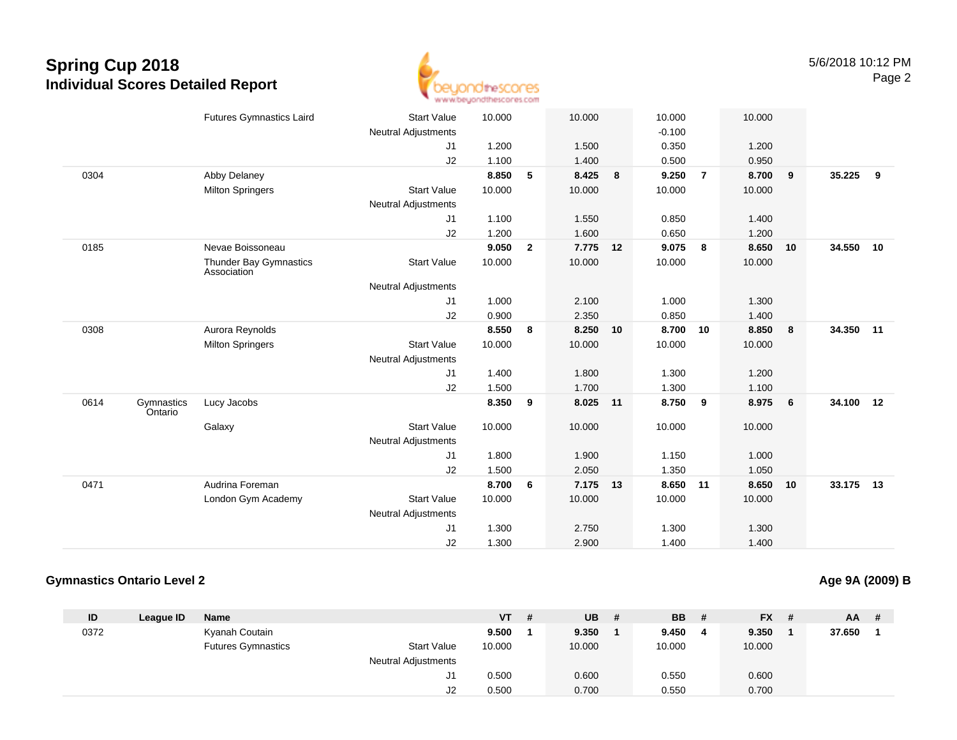

|      |                       | <b>Futures Gymnastics Laird</b>              | <b>Start Value</b>         | 10.000 |                | 10.000   |                         | 10.000   |                | 10.000 |     |        |    |
|------|-----------------------|----------------------------------------------|----------------------------|--------|----------------|----------|-------------------------|----------|----------------|--------|-----|--------|----|
|      |                       |                                              | <b>Neutral Adjustments</b> |        |                |          |                         | $-0.100$ |                |        |     |        |    |
|      |                       |                                              | J1                         | 1.200  |                | 1.500    |                         | 0.350    |                | 1.200  |     |        |    |
|      |                       |                                              | J2                         | 1.100  |                | 1.400    |                         | 0.500    |                | 0.950  |     |        |    |
| 0304 |                       | Abby Delaney                                 |                            | 8.850  | 5              | 8.425    | $\overline{\mathbf{8}}$ | 9.250    | $\overline{7}$ | 8.700  | 9   | 35.225 | 9  |
|      |                       | <b>Milton Springers</b>                      | <b>Start Value</b>         | 10.000 |                | 10.000   |                         | 10.000   |                | 10.000 |     |        |    |
|      |                       |                                              | <b>Neutral Adjustments</b> |        |                |          |                         |          |                |        |     |        |    |
|      |                       |                                              | J1                         | 1.100  |                | 1.550    |                         | 0.850    |                | 1.400  |     |        |    |
|      |                       |                                              | J2                         | 1.200  |                | 1.600    |                         | 0.650    |                | 1.200  |     |        |    |
| 0185 |                       | Nevae Boissoneau                             |                            | 9.050  | $\overline{2}$ | 7.775 12 |                         | 9.075    | 8              | 8.650  | 10  | 34.550 | 10 |
|      |                       | <b>Thunder Bay Gymnastics</b><br>Association | <b>Start Value</b>         | 10.000 |                | 10.000   |                         | 10.000   |                | 10.000 |     |        |    |
|      |                       |                                              | <b>Neutral Adjustments</b> |        |                |          |                         |          |                |        |     |        |    |
|      |                       |                                              | J1                         | 1.000  |                | 2.100    |                         | 1.000    |                | 1.300  |     |        |    |
|      |                       |                                              | J2                         | 0.900  |                | 2.350    |                         | 0.850    |                | 1.400  |     |        |    |
| 0308 |                       | Aurora Reynolds                              |                            | 8.550  | 8              | 8.250    | 10                      | 8.700    | 10             | 8.850  | 8   | 34.350 | 11 |
|      |                       | <b>Milton Springers</b>                      | <b>Start Value</b>         | 10.000 |                | 10.000   |                         | 10.000   |                | 10.000 |     |        |    |
|      |                       |                                              | <b>Neutral Adjustments</b> |        |                |          |                         |          |                |        |     |        |    |
|      |                       |                                              | J1                         | 1.400  |                | 1.800    |                         | 1.300    |                | 1.200  |     |        |    |
|      |                       |                                              | J2                         | 1.500  |                | 1.700    |                         | 1.300    |                | 1.100  |     |        |    |
| 0614 | Gymnastics<br>Ontario | Lucy Jacobs                                  |                            | 8.350  | -9             | 8.025    | $-11$                   | 8.750    | 9              | 8.975  | - 6 | 34.100 | 12 |
|      |                       | Galaxy                                       | <b>Start Value</b>         | 10.000 |                | 10.000   |                         | 10.000   |                | 10.000 |     |        |    |
|      |                       |                                              | <b>Neutral Adjustments</b> |        |                |          |                         |          |                |        |     |        |    |
|      |                       |                                              | J1                         | 1.800  |                | 1.900    |                         | 1.150    |                | 1.000  |     |        |    |
|      |                       |                                              | J2                         | 1.500  |                | 2.050    |                         | 1.350    |                | 1.050  |     |        |    |
| 0471 |                       | Audrina Foreman                              |                            | 8.700  | 6              | 7.175 13 |                         | 8.650    | 11             | 8.650  | 10  | 33.175 | 13 |
|      |                       | London Gym Academy                           | <b>Start Value</b>         | 10.000 |                | 10.000   |                         | 10.000   |                | 10.000 |     |        |    |
|      |                       |                                              | <b>Neutral Adjustments</b> |        |                |          |                         |          |                |        |     |        |    |
|      |                       |                                              | J1                         | 1.300  |                | 2.750    |                         | 1.300    |                | 1.300  |     |        |    |
|      |                       |                                              | J2                         | 1.300  |                | 2.900    |                         | 1.400    |                | 1.400  |     |        |    |

#### **Gymnastics Ontario Level 2**

**Age 9A (2009) B**

| ID   | League ID | Name                      |                     | <b>VT</b> | -# | <b>UB</b> | # | BB     | # | $FX$ # | $AA$ # |  |
|------|-----------|---------------------------|---------------------|-----------|----|-----------|---|--------|---|--------|--------|--|
| 0372 |           | Kyanah Coutain            |                     | 9.500     |    | 9.350     |   | 9.450  | 4 | 9.350  | 37.650 |  |
|      |           | <b>Futures Gymnastics</b> | <b>Start Value</b>  | 10.000    |    | 10.000    |   | 10.000 |   | 10.000 |        |  |
|      |           |                           | Neutral Adjustments |           |    |           |   |        |   |        |        |  |
|      |           |                           | J1                  | 0.500     |    | 0.600     |   | 0.550  |   | 0.600  |        |  |
|      |           |                           | J2                  | 0.500     |    | 0.700     |   | 0.550  |   | 0.700  |        |  |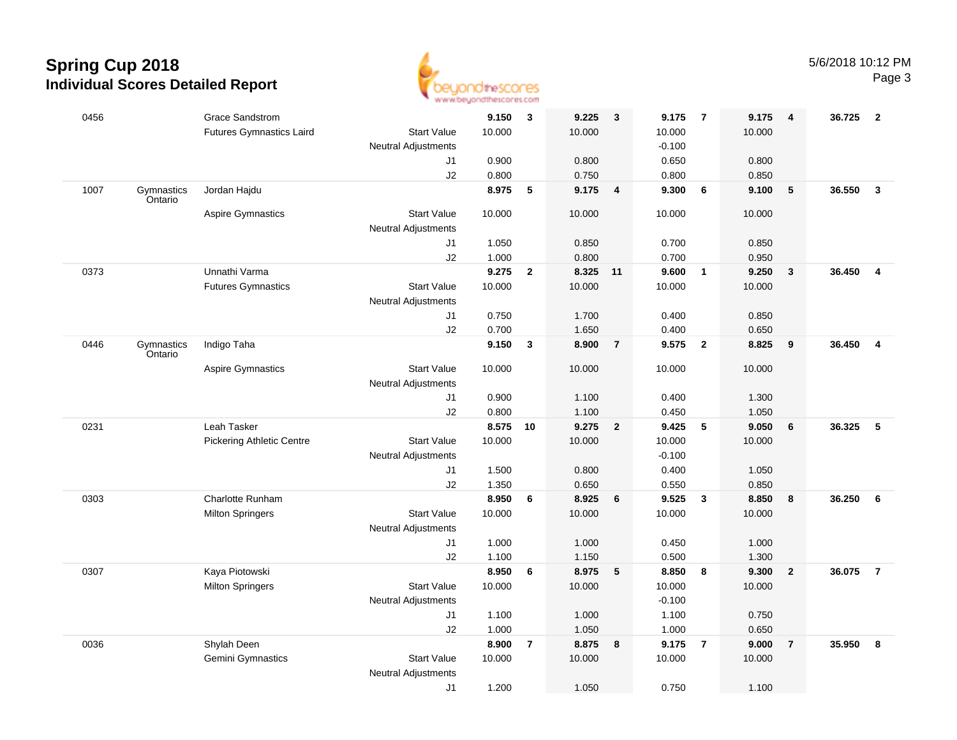

| 0456 |                       | <b>Grace Sandstrom</b>           |                                                  | 9.150    | $\mathbf{3}$   | 9.225    | $\overline{\mathbf{3}}$ | 9.175    | $\overline{7}$          | 9.175  | $\overline{4}$   | 36.725 | $\overline{\mathbf{2}}$ |
|------|-----------------------|----------------------------------|--------------------------------------------------|----------|----------------|----------|-------------------------|----------|-------------------------|--------|------------------|--------|-------------------------|
|      |                       | <b>Futures Gymnastics Laird</b>  | <b>Start Value</b>                               | 10.000   |                | 10.000   |                         | 10.000   |                         | 10.000 |                  |        |                         |
|      |                       |                                  | Neutral Adjustments                              |          |                |          |                         | $-0.100$ |                         |        |                  |        |                         |
|      |                       |                                  | J1                                               | 0.900    |                | 0.800    |                         | 0.650    |                         | 0.800  |                  |        |                         |
|      |                       |                                  | J2                                               | 0.800    |                | 0.750    |                         | 0.800    |                         | 0.850  |                  |        |                         |
| 1007 | Gymnastics<br>Ontario | Jordan Hajdu                     |                                                  | 8.975    | 5              | 9.175    | $\overline{\mathbf{4}}$ | 9.300    | 6                       | 9.100  | 5                | 36.550 | $\mathbf{3}$            |
|      |                       | Aspire Gymnastics                | <b>Start Value</b><br><b>Neutral Adjustments</b> | 10.000   |                | 10.000   |                         | 10.000   |                         | 10.000 |                  |        |                         |
|      |                       |                                  | J1                                               | 1.050    |                | 0.850    |                         | 0.700    |                         | 0.850  |                  |        |                         |
|      |                       |                                  | J2                                               | 1.000    |                | 0.800    |                         | 0.700    |                         | 0.950  |                  |        |                         |
| 0373 |                       | Unnathi Varma                    |                                                  | 9.275    | $\mathbf{2}$   | 8.325 11 |                         | 9.600    | $\overline{\mathbf{1}}$ | 9.250  | $\mathbf{3}$     | 36.450 | $\overline{\mathbf{4}}$ |
|      |                       | <b>Futures Gymnastics</b>        | <b>Start Value</b><br><b>Neutral Adjustments</b> | 10.000   |                | 10.000   |                         | 10.000   |                         | 10.000 |                  |        |                         |
|      |                       |                                  | J1                                               | 0.750    |                | 1.700    |                         | 0.400    |                         | 0.850  |                  |        |                         |
|      |                       |                                  | J2                                               | 0.700    |                | 1.650    |                         | 0.400    |                         | 0.650  |                  |        |                         |
| 0446 | Gymnastics<br>Ontario | Indigo Taha                      |                                                  | 9.150    | 3              | 8.900    | $\overline{7}$          | 9.575    | $\overline{\mathbf{2}}$ | 8.825  | 9                | 36.450 | $\overline{4}$          |
|      |                       | Aspire Gymnastics                | <b>Start Value</b>                               | 10.000   |                | 10.000   |                         | 10.000   |                         | 10.000 |                  |        |                         |
|      |                       |                                  | <b>Neutral Adjustments</b>                       |          |                |          |                         |          |                         |        |                  |        |                         |
|      |                       |                                  | J1                                               | 0.900    |                | 1.100    |                         | 0.400    |                         | 1.300  |                  |        |                         |
|      |                       |                                  | J2                                               | 0.800    |                | 1.100    |                         | 0.450    |                         | 1.050  |                  |        |                         |
| 0231 |                       | Leah Tasker                      |                                                  | 8.575 10 |                | 9.275    | $\overline{\mathbf{2}}$ | 9.425    | 5                       | 9.050  | 6                | 36.325 | 5                       |
|      |                       | <b>Pickering Athletic Centre</b> | <b>Start Value</b>                               | 10.000   |                | 10.000   |                         | 10.000   |                         | 10.000 |                  |        |                         |
|      |                       |                                  | <b>Neutral Adjustments</b>                       |          |                |          |                         | $-0.100$ |                         |        |                  |        |                         |
|      |                       |                                  | J1                                               | 1.500    |                | 0.800    |                         | 0.400    |                         | 1.050  |                  |        |                         |
|      |                       |                                  | J2                                               | 1.350    |                | 0.650    |                         | 0.550    |                         | 0.850  |                  |        |                         |
| 0303 |                       | Charlotte Runham                 |                                                  | 8.950    | 6              | 8.925    | 6                       | 9.525    | $\mathbf{3}$            | 8.850  | 8                | 36.250 | 6                       |
|      |                       | <b>Milton Springers</b>          | <b>Start Value</b><br><b>Neutral Adjustments</b> | 10.000   |                | 10.000   |                         | 10.000   |                         | 10.000 |                  |        |                         |
|      |                       |                                  | J1                                               | 1.000    |                | 1.000    |                         | 0.450    |                         | 1.000  |                  |        |                         |
|      |                       |                                  | J2                                               | 1.100    |                | 1.150    |                         | 0.500    |                         | 1.300  |                  |        |                         |
| 0307 |                       | Kaya Piotowski                   |                                                  | 8.950    | 6              | 8.975    | $\sqrt{5}$              | 8.850    | 8                       | 9.300  | $\boldsymbol{2}$ | 36.075 | $\overline{7}$          |
|      |                       | <b>Milton Springers</b>          | <b>Start Value</b>                               | 10.000   |                | 10.000   |                         | 10.000   |                         | 10.000 |                  |        |                         |
|      |                       |                                  | <b>Neutral Adjustments</b>                       |          |                |          |                         | $-0.100$ |                         |        |                  |        |                         |
|      |                       |                                  | J1                                               | 1.100    |                | 1.000    |                         | 1.100    |                         | 0.750  |                  |        |                         |
|      |                       |                                  | J2                                               | 1.000    |                | 1.050    |                         | 1.000    |                         | 0.650  |                  |        |                         |
| 0036 |                       | Shylah Deen                      |                                                  | 8.900    | $\overline{7}$ | 8.875    | 8                       | 9.175    | $\overline{7}$          | 9.000  | $\overline{7}$   | 35.950 | 8                       |
|      |                       | Gemini Gymnastics                | <b>Start Value</b>                               | 10.000   |                | 10.000   |                         | 10.000   |                         | 10.000 |                  |        |                         |
|      |                       |                                  | Neutral Adjustments                              |          |                |          |                         |          |                         |        |                  |        |                         |
|      |                       |                                  | J1                                               | 1.200    |                | 1.050    |                         | 0.750    |                         | 1.100  |                  |        |                         |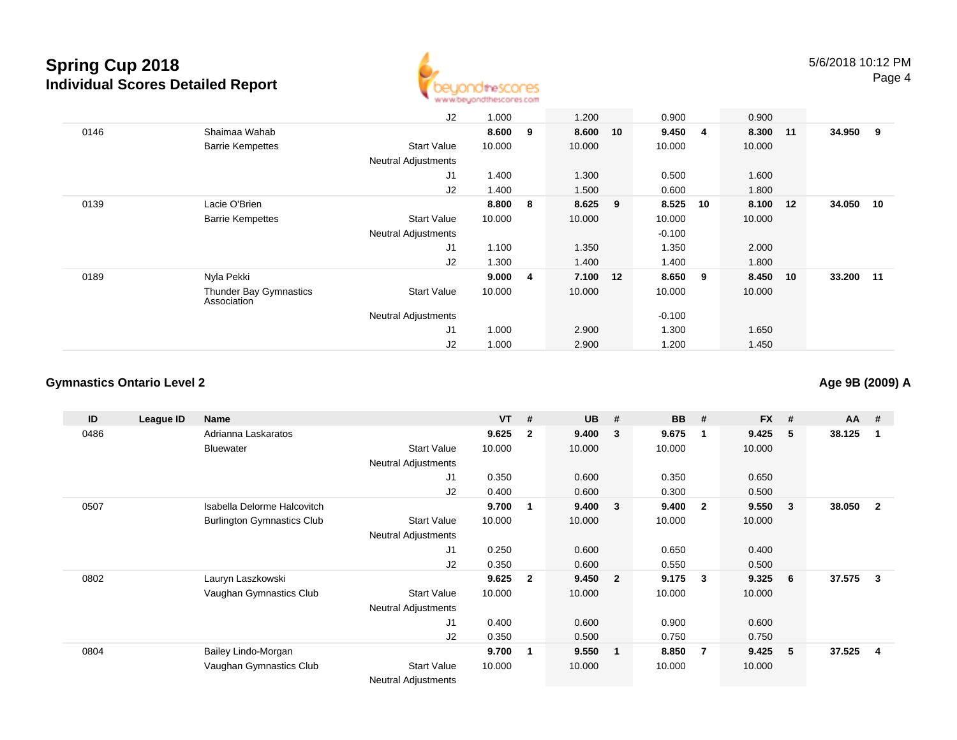

|      |                                              | J2                         | 1.000  |                | 1.200   |    | 0.900    |                | 0.900    |    |           |  |
|------|----------------------------------------------|----------------------------|--------|----------------|---------|----|----------|----------------|----------|----|-----------|--|
| 0146 | Shaimaa Wahab                                |                            | 8.600  | 9              | 8.600   | 10 | 9.450    | $\overline{4}$ | 8.300 11 |    | 34.950 9  |  |
|      | <b>Barrie Kempettes</b>                      | <b>Start Value</b>         | 10.000 |                | 10.000  |    | 10.000   |                | 10.000   |    |           |  |
|      |                                              | <b>Neutral Adjustments</b> |        |                |         |    |          |                |          |    |           |  |
|      |                                              | J <sub>1</sub>             | 1.400  |                | 1.300   |    | 0.500    |                | 1.600    |    |           |  |
|      |                                              | J2                         | 1.400  |                | 1.500   |    | 0.600    |                | 1.800    |    |           |  |
| 0139 | Lacie O'Brien                                |                            | 8.800  | 8              | 8.625 9 |    | 8.525    | 10             | 8.100 12 |    | 34.050 10 |  |
|      | <b>Barrie Kempettes</b>                      | <b>Start Value</b>         | 10.000 |                | 10.000  |    | 10.000   |                | 10.000   |    |           |  |
|      |                                              | <b>Neutral Adjustments</b> |        |                |         |    | $-0.100$ |                |          |    |           |  |
|      |                                              | J <sub>1</sub>             | 1.100  |                | 1.350   |    | 1.350    |                | 2.000    |    |           |  |
|      |                                              | J2                         | 1.300  |                | 1.400   |    | 1.400    |                | 1.800    |    |           |  |
| 0189 | Nyla Pekki                                   |                            | 9.000  | $\overline{4}$ | 7.100   | 12 | 8.650    | 9              | 8.450    | 10 | 33.200 11 |  |
|      | <b>Thunder Bay Gymnastics</b><br>Association | <b>Start Value</b>         | 10.000 |                | 10.000  |    | 10.000   |                | 10.000   |    |           |  |
|      |                                              | <b>Neutral Adjustments</b> |        |                |         |    | $-0.100$ |                |          |    |           |  |
|      |                                              | J <sub>1</sub>             | 1.000  |                | 2.900   |    | 1.300    |                | 1.650    |    |           |  |
|      |                                              | J2                         | 1.000  |                | 2.900   |    | 1.200    |                | 1.450    |    |           |  |

#### **Gymnastics Ontario Level 2**

**ID League ID Name VT # UB # BB # FX # AA #** 0486 Adrianna Laskaratos **9.625 <sup>2</sup> 9.400 <sup>3</sup> 9.675 <sup>1</sup> 9.425 <sup>5</sup> 38.125 <sup>1</sup>** Bluewater Start Valuee 10.000 10.000 10.000 10.000 Neutral Adjustments J1 0.350 0.600 0.350 0.650 J2 0.400 0.600 0.300 0.500 0507 Isabella Delorme Halcovitch **9.700 <sup>1</sup> 9.400 <sup>3</sup> 9.400 <sup>2</sup> 9.550 <sup>3</sup> 38.050 <sup>2</sup>** Burlington Gymnastics Clubb 3tart Value 10.000 10.000 10.000 10.000 10.000 Neutral Adjustments J1 0.250 0.600 0.650 0.400 J2 0.350 0.600 0.550 0.500 0802 Lauryn Laszkowski **9.625 <sup>2</sup> 9.450 <sup>2</sup> 9.175 <sup>3</sup> 9.325 <sup>6</sup> 37.575 <sup>3</sup>** Vaughan Gymnastics Clubb 3tart Value 10.000 10.000 10.000 10.000 10.000 Neutral Adjustments J1 0.400 0.600 0.900 0.600 J2 0.350 0.500 0.750 0.750 0804 Bailey Lindo-Morgan **9.700 <sup>1</sup> 9.550 <sup>1</sup> 8.850 <sup>7</sup> 9.425 <sup>5</sup> 37.525 <sup>4</sup>** Vaughan Gymnastics Clubb 3tart Value 10.000 10.000 10.000 10.000 10.000

Neutral Adjustments

#### **Age 9B (2009) A**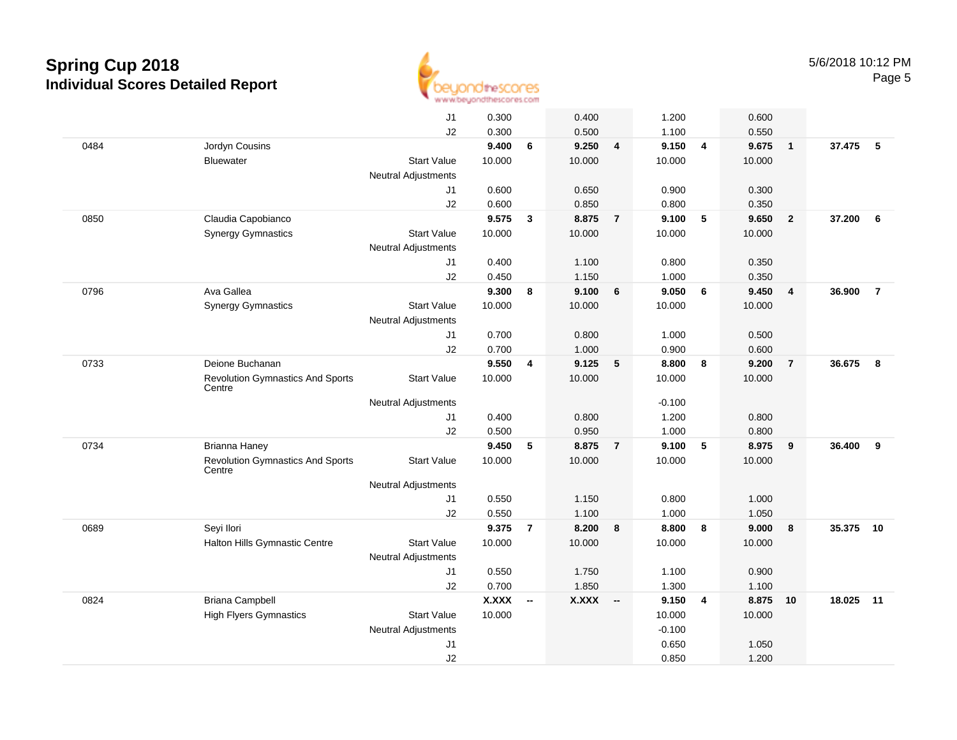

|      |                                                   | J1                         | 0.300        |                          | 0.400                 |                 | 1.200              |                          | 0.600          |                |        |                |
|------|---------------------------------------------------|----------------------------|--------------|--------------------------|-----------------------|-----------------|--------------------|--------------------------|----------------|----------------|--------|----------------|
|      |                                                   | J2                         | 0.300        |                          | 0.500                 |                 | 1.100              |                          | 0.550          |                |        |                |
| 0484 | Jordyn Cousins                                    |                            | 9.400        | 6                        | 9.250                 | $\overline{4}$  | 9.150              | $\overline{4}$           | 9.675          | $\mathbf{1}$   | 37.475 | 5              |
|      | <b>Bluewater</b>                                  | <b>Start Value</b>         | 10.000       |                          | 10.000                |                 | 10.000             |                          | 10.000         |                |        |                |
|      |                                                   | Neutral Adjustments        |              |                          |                       |                 |                    |                          |                |                |        |                |
|      |                                                   | J1                         | 0.600        |                          | 0.650                 |                 | 0.900              |                          | 0.300          |                |        |                |
|      |                                                   | J2                         | 0.600        |                          | 0.850                 |                 | 0.800              |                          | 0.350          |                |        |                |
| 0850 | Claudia Capobianco                                |                            | 9.575        | $\mathbf{3}$             | 8.875                 | $\overline{7}$  | 9.100              | $\overline{\phantom{0}}$ | 9.650          | $\overline{2}$ | 37.200 | 6              |
|      | <b>Synergy Gymnastics</b>                         | <b>Start Value</b>         | 10.000       |                          | 10.000                |                 | 10.000             |                          | 10.000         |                |        |                |
|      |                                                   | <b>Neutral Adjustments</b> |              |                          |                       |                 |                    |                          |                |                |        |                |
|      |                                                   | J1                         | 0.400        |                          | 1.100                 |                 | 0.800              |                          | 0.350          |                |        |                |
|      |                                                   | J2                         | 0.450        |                          | 1.150                 |                 | 1.000              |                          | 0.350          |                |        |                |
| 0796 | Ava Gallea                                        |                            | 9.300        | 8                        | 9.100                 | $6\phantom{1}6$ | 9.050              | $6\overline{6}$          | 9.450          | $\overline{4}$ | 36.900 | $\overline{7}$ |
|      | <b>Synergy Gymnastics</b>                         | <b>Start Value</b>         | 10.000       |                          | 10.000                |                 | 10.000             |                          | 10.000         |                |        |                |
|      |                                                   | Neutral Adjustments        |              |                          |                       |                 |                    |                          |                |                |        |                |
|      |                                                   | J1                         | 0.700        |                          | 0.800                 |                 | 1.000              |                          | 0.500          |                |        |                |
|      |                                                   | J2                         | 0.700        |                          | 1.000                 |                 | 0.900              |                          | 0.600          |                |        |                |
| 0733 | Deione Buchanan                                   |                            | 9.550        | 4                        | 9.125                 | 5               | 8.800              | 8                        | 9.200          | $\overline{7}$ | 36.675 | 8              |
|      | <b>Revolution Gymnastics And Sports</b><br>Centre | <b>Start Value</b>         | 10.000       |                          | 10.000                |                 | 10.000             |                          | 10.000         |                |        |                |
|      |                                                   | Neutral Adjustments        |              |                          |                       |                 | $-0.100$           |                          |                |                |        |                |
|      |                                                   | J1                         | 0.400        |                          | 0.800                 |                 | 1.200              |                          | 0.800          |                |        |                |
|      |                                                   | J2                         | 0.500        |                          | 0.950                 |                 | 1.000              |                          | 0.800          |                |        |                |
| 0734 | <b>Brianna Haney</b>                              |                            | 9.450        | 5                        | 8.875                 | $\overline{7}$  | 9.100              | $\sqrt{5}$               | 8.975          | 9              | 36.400 | 9              |
|      | <b>Revolution Gymnastics And Sports</b>           | <b>Start Value</b>         | 10.000       |                          | 10.000                |                 | 10.000             |                          | 10.000         |                |        |                |
|      | Centre                                            |                            |              |                          |                       |                 |                    |                          |                |                |        |                |
|      |                                                   | <b>Neutral Adjustments</b> |              |                          |                       |                 |                    |                          |                |                |        |                |
|      |                                                   | J1                         | 0.550        |                          | 1.150                 |                 | 0.800              |                          | 1.000          |                |        |                |
|      |                                                   | J2                         | 0.550        |                          | 1.100                 |                 | 1.000              |                          | 1.050          |                |        |                |
| 0689 | Seyi Ilori                                        |                            | 9.375        | $\overline{7}$           | 8.200                 | 8               | 8.800              | $\boldsymbol{8}$         | 9.000          | 8              | 35.375 | 10             |
|      | Halton Hills Gymnastic Centre                     | <b>Start Value</b>         | 10.000       |                          | 10.000                |                 | 10.000             |                          | 10.000         |                |        |                |
|      |                                                   | <b>Neutral Adjustments</b> |              |                          |                       |                 |                    |                          |                |                |        |                |
|      |                                                   | J1                         | 0.550        |                          | 1.750                 |                 | 1.100              |                          | 0.900          |                |        |                |
| 0824 |                                                   | J2                         | 0.700        |                          | 1.850<br><b>X.XXX</b> |                 | 1.300<br>9.150     | $\overline{4}$           | 1.100<br>8.875 |                | 18.025 | 11             |
|      | Briana Campbell                                   |                            | <b>X.XXX</b> | $\overline{\phantom{a}}$ |                       | $\sim$          |                    |                          |                | 10             |        |                |
|      | <b>High Flyers Gymnastics</b>                     | <b>Start Value</b>         | 10.000       |                          |                       |                 | 10.000<br>$-0.100$ |                          | 10.000         |                |        |                |
|      |                                                   | Neutral Adjustments        |              |                          |                       |                 | 0.650              |                          | 1.050          |                |        |                |
|      |                                                   | J1<br>J2                   |              |                          |                       |                 | 0.850              |                          | 1.200          |                |        |                |
|      |                                                   |                            |              |                          |                       |                 |                    |                          |                |                |        |                |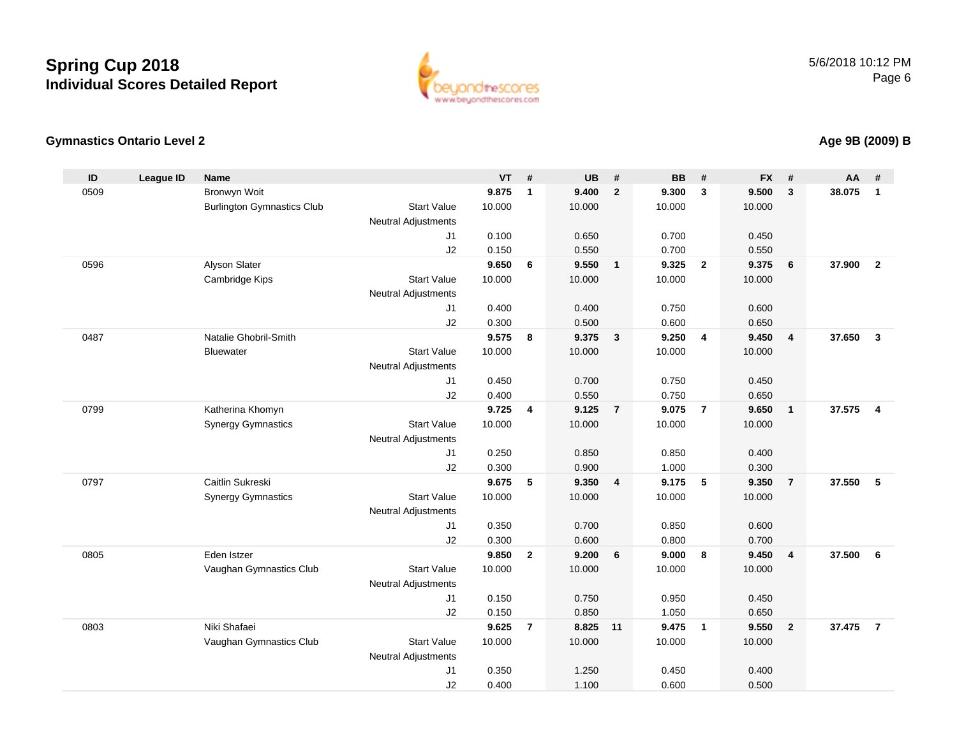

#### **Gymnastics Ontario Level 2**

#### **ID League ID Name VT # UB # BB # FX # AA #** 0509 Bronwyn Woit **9.875 <sup>1</sup> 9.400 <sup>2</sup> 9.300 <sup>3</sup> 9.500 <sup>3</sup> 38.075 <sup>1</sup>** Burlington Gymnastics Clubb 3tart Value 10.000 10.000 10.000 10.000 10.000 Neutral Adjustments J1 0.100 0.650 0.700 0.450 J2 0.150 0.550 0.700 0.550 0596 Alyson Slater **9.650 <sup>6</sup> 9.550 <sup>1</sup> 9.325 <sup>2</sup> 9.375 <sup>6</sup> 37.900 <sup>2</sup>** Cambridge Kips Start Valuee 10.000 10.000 10.000 10.000 Neutral Adjustments J1 0.400 0.400 0.750 0.600 J2 0.300 0.500 0.600 0.650 0487 Natalie Ghobril-Smith **9.575 <sup>8</sup> 9.375 <sup>3</sup> 9.250 <sup>4</sup> 9.450 <sup>4</sup> 37.650 <sup>3</sup>** Bluewater Start Valuee 10.000 10.000 10.000 10.000 Neutral Adjustments J1 0.450 0.700 0.750 0.450 J2 0.400 0.550 0.750 0.650 0799 Katherina Khomyn **9.725 <sup>4</sup> 9.125 <sup>7</sup> 9.075 <sup>7</sup> 9.650 <sup>1</sup> 37.575 <sup>4</sup>** Synergy Gymnastics Start Valuee 10.000 10.000 10.000 10.000 Neutral Adjustments J1 0.250 0.850 0.850 0.400 J2 0.300 0.900 1.000 0.300 0797 Caitlin Sukreski **9.675 <sup>5</sup> 9.350 <sup>4</sup> 9.175 <sup>5</sup> 9.350 <sup>7</sup> 37.550 <sup>5</sup>** Synergy Gymnastics Start Valuee 10.000 10.000 10.000 10.000 Neutral Adjustments J1 0.350 0.700 0.850 0.600 J2 0.300 0.600 0.800 0.700 0805 Eden Istzer **9.850 <sup>2</sup> 9.200 <sup>6</sup> 9.000 <sup>8</sup> 9.450 <sup>4</sup> 37.500 <sup>6</sup>** Vaughan Gymnastics Club Start Value 10.000 10.000 10.000 10.000 Neutral Adjustments J1 0.150 0.750 0.950 0.450 J2 0.150 0.850 1.050 0.650 0803 Niki Shafaei **9.625 <sup>7</sup> 8.825 <sup>11</sup> 9.475 <sup>1</sup> 9.550 <sup>2</sup> 37.475 <sup>7</sup>** Vaughan Gymnastics Club Start Value 10.000 10.000 10.000 10.000 Neutral Adjustments J1 0.350 1.250 0.450 0.400 J20.400 1.100 0.600 0.500

### **Age 9B (2009) B**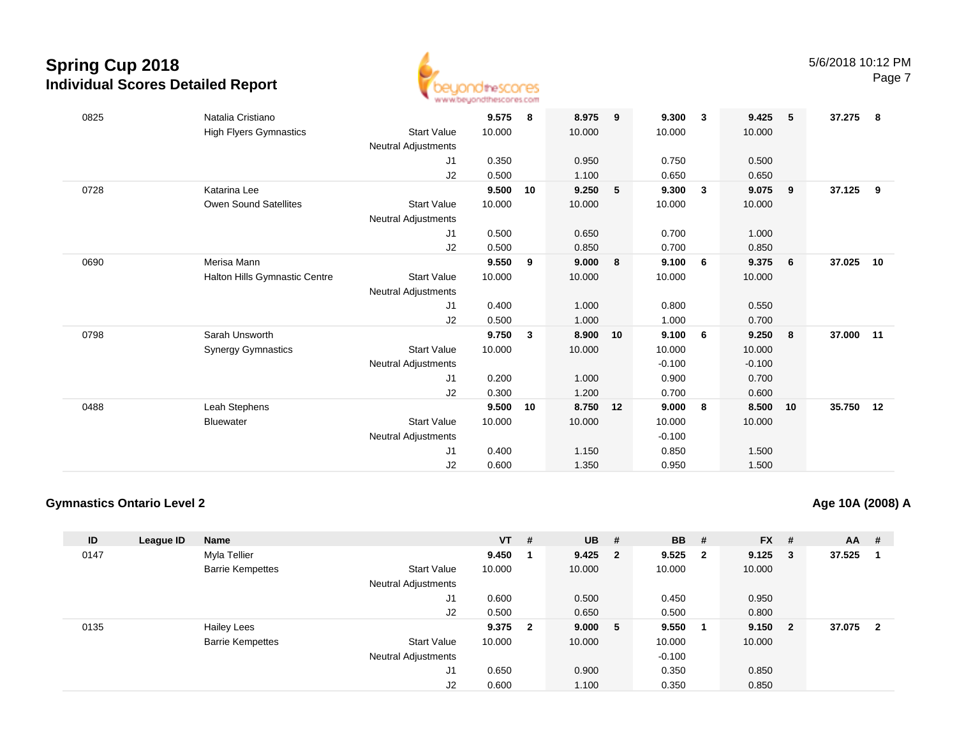

| 0825 | Natalia Cristiano             |                     | 9.575  | 8  | 8.975  | 9  | 9.300    | 3            | 9.425    | - 5 | 37.275    | - 8 |
|------|-------------------------------|---------------------|--------|----|--------|----|----------|--------------|----------|-----|-----------|-----|
|      | <b>High Flyers Gymnastics</b> | <b>Start Value</b>  | 10.000 |    | 10.000 |    | 10.000   |              | 10.000   |     |           |     |
|      |                               | Neutral Adjustments |        |    |        |    |          |              |          |     |           |     |
|      |                               | J1                  | 0.350  |    | 0.950  |    | 0.750    |              | 0.500    |     |           |     |
|      |                               | J2                  | 0.500  |    | 1.100  |    | 0.650    |              | 0.650    |     |           |     |
| 0728 | Katarina Lee                  |                     | 9.500  | 10 | 9.250  | 5  | 9.300    | $\mathbf{3}$ | 9.075    | 9   | 37.125    | 9   |
|      | <b>Owen Sound Satellites</b>  | <b>Start Value</b>  | 10.000 |    | 10.000 |    | 10.000   |              | 10.000   |     |           |     |
|      |                               | Neutral Adjustments |        |    |        |    |          |              |          |     |           |     |
|      |                               | J1                  | 0.500  |    | 0.650  |    | 0.700    |              | 1.000    |     |           |     |
|      |                               | J2                  | 0.500  |    | 0.850  |    | 0.700    |              | 0.850    |     |           |     |
| 0690 | Merisa Mann                   |                     | 9.550  | 9  | 9.000  | 8  | 9.100    | 6            | 9.375    | 6   | 37.025    | 10  |
|      | Halton Hills Gymnastic Centre | <b>Start Value</b>  | 10.000 |    | 10.000 |    | 10.000   |              | 10.000   |     |           |     |
|      |                               | Neutral Adjustments |        |    |        |    |          |              |          |     |           |     |
|      |                               | J1                  | 0.400  |    | 1.000  |    | 0.800    |              | 0.550    |     |           |     |
|      |                               | J2                  | 0.500  |    | 1.000  |    | 1.000    |              | 0.700    |     |           |     |
| 0798 | Sarah Unsworth                |                     | 9.750  | 3  | 8.900  | 10 | 9.100    | 6            | 9.250    | 8   | 37.000    | 11  |
|      | <b>Synergy Gymnastics</b>     | <b>Start Value</b>  | 10.000 |    | 10.000 |    | 10.000   |              | 10.000   |     |           |     |
|      |                               | Neutral Adjustments |        |    |        |    | $-0.100$ |              | $-0.100$ |     |           |     |
|      |                               | J1                  | 0.200  |    | 1.000  |    | 0.900    |              | 0.700    |     |           |     |
|      |                               | J2                  | 0.300  |    | 1.200  |    | 0.700    |              | 0.600    |     |           |     |
| 0488 | Leah Stephens                 |                     | 9.500  | 10 | 8.750  | 12 | 9.000    | 8            | 8.500    | 10  | 35.750 12 |     |
|      | <b>Bluewater</b>              | <b>Start Value</b>  | 10.000 |    | 10.000 |    | 10.000   |              | 10.000   |     |           |     |
|      |                               | Neutral Adjustments |        |    |        |    | $-0.100$ |              |          |     |           |     |
|      |                               | J1                  | 0.400  |    | 1.150  |    | 0.850    |              | 1.500    |     |           |     |
|      |                               | J2                  | 0.600  |    | 1.350  |    | 0.950    |              | 1.500    |     |           |     |

#### **Gymnastics Ontario Level 2**

**Age 10A (2008) A**

| ID   | League ID | <b>Name</b>             |                            | $VT$ #  | <b>UB</b> | #                        | <b>BB</b> | #                       | <b>FX</b> | #              | $AA$ # |                         |
|------|-----------|-------------------------|----------------------------|---------|-----------|--------------------------|-----------|-------------------------|-----------|----------------|--------|-------------------------|
| 0147 |           | Myla Tellier            |                            | 9.450   | 9.425     | $\overline{\phantom{a}}$ | 9.525     | $\overline{\mathbf{2}}$ | 9.125     | 3              | 37.525 |                         |
|      |           | <b>Barrie Kempettes</b> | <b>Start Value</b>         | 10.000  | 10.000    |                          | 10.000    |                         | 10.000    |                |        |                         |
|      |           |                         | <b>Neutral Adjustments</b> |         |           |                          |           |                         |           |                |        |                         |
|      |           |                         | J1                         | 0.600   | 0.500     |                          | 0.450     |                         | 0.950     |                |        |                         |
|      |           |                         | J2                         | 0.500   | 0.650     |                          | 0.500     |                         | 0.800     |                |        |                         |
| 0135 |           | <b>Hailey Lees</b>      |                            | 9.375 2 | 9.000 5   |                          | 9.550     | -1                      | 9.150     | $\overline{2}$ | 37.075 | $\overline{\mathbf{2}}$ |
|      |           | <b>Barrie Kempettes</b> | <b>Start Value</b>         | 10.000  | 10.000    |                          | 10.000    |                         | 10.000    |                |        |                         |
|      |           |                         | <b>Neutral Adjustments</b> |         |           |                          | $-0.100$  |                         |           |                |        |                         |
|      |           |                         | J1                         | 0.650   | 0.900     |                          | 0.350     |                         | 0.850     |                |        |                         |
|      |           |                         | J <sub>2</sub>             | 0.600   | 1.100     |                          | 0.350     |                         | 0.850     |                |        |                         |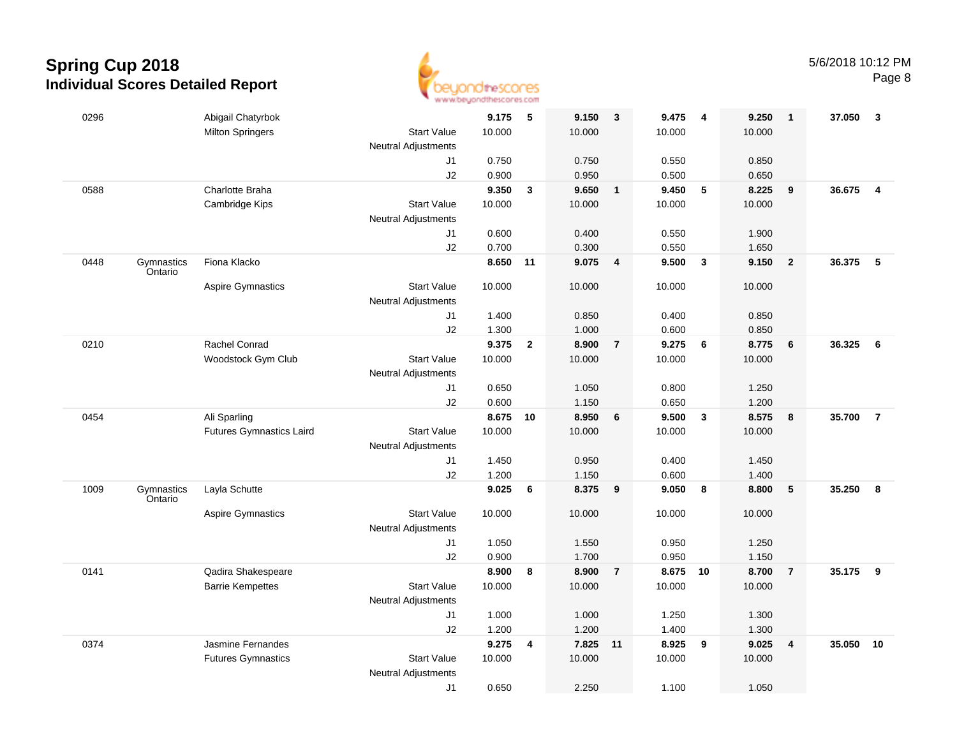

| 0296 |                       | Abigail Chatyrbok               |                            | 9.175  | - 5            | 9.150  | $\overline{\mathbf{3}}$ | 9.475  | $\overline{4}$          | 9.250  | $\mathbf{1}$     | 37.050   | $\mathbf{3}$   |
|------|-----------------------|---------------------------------|----------------------------|--------|----------------|--------|-------------------------|--------|-------------------------|--------|------------------|----------|----------------|
|      |                       | <b>Milton Springers</b>         | <b>Start Value</b>         | 10.000 |                | 10.000 |                         | 10.000 |                         | 10.000 |                  |          |                |
|      |                       |                                 | Neutral Adjustments        |        |                |        |                         |        |                         |        |                  |          |                |
|      |                       |                                 | J1                         | 0.750  |                | 0.750  |                         | 0.550  |                         | 0.850  |                  |          |                |
|      |                       |                                 | J2                         | 0.900  |                | 0.950  |                         | 0.500  |                         | 0.650  |                  |          |                |
| 0588 |                       | Charlotte Braha                 |                            | 9.350  | 3              | 9.650  | $\overline{1}$          | 9.450  | $5\phantom{.0}$         | 8.225  | 9                | 36.675   | $\overline{4}$ |
|      |                       | Cambridge Kips                  | <b>Start Value</b>         | 10.000 |                | 10.000 |                         | 10.000 |                         | 10.000 |                  |          |                |
|      |                       |                                 | <b>Neutral Adjustments</b> |        |                |        |                         |        |                         |        |                  |          |                |
|      |                       |                                 | J1                         | 0.600  |                | 0.400  |                         | 0.550  |                         | 1.900  |                  |          |                |
|      |                       |                                 | J2                         | 0.700  |                | 0.300  |                         | 0.550  |                         | 1.650  |                  |          |                |
| 0448 | Gymnastics<br>Ontario | Fiona Klacko                    |                            | 8.650  | 11             | 9.075  | $\overline{4}$          | 9.500  | $\overline{\mathbf{3}}$ | 9.150  | $\boldsymbol{2}$ | 36.375   | 5              |
|      |                       | Aspire Gymnastics               | <b>Start Value</b>         | 10.000 |                | 10.000 |                         | 10.000 |                         | 10.000 |                  |          |                |
|      |                       |                                 | <b>Neutral Adjustments</b> |        |                |        |                         |        |                         |        |                  |          |                |
|      |                       |                                 | J1                         | 1.400  |                | 0.850  |                         | 0.400  |                         | 0.850  |                  |          |                |
|      |                       |                                 | J2                         | 1.300  |                | 1.000  |                         | 0.600  |                         | 0.850  |                  |          |                |
| 0210 |                       | Rachel Conrad                   |                            | 9.375  | $\overline{2}$ | 8.900  | $\overline{7}$          | 9.275  | 6                       | 8.775  | 6                | 36.325   | 6              |
|      |                       | Woodstock Gym Club              | <b>Start Value</b>         | 10.000 |                | 10.000 |                         | 10.000 |                         | 10.000 |                  |          |                |
|      |                       |                                 | Neutral Adjustments        |        |                |        |                         |        |                         |        |                  |          |                |
|      |                       |                                 | J1                         | 0.650  |                | 1.050  |                         | 0.800  |                         | 1.250  |                  |          |                |
|      |                       |                                 | J2                         | 0.600  |                | 1.150  |                         | 0.650  |                         | 1.200  |                  |          |                |
| 0454 |                       | Ali Sparling                    |                            | 8.675  | 10             | 8.950  | 6                       | 9.500  | $\overline{\mathbf{3}}$ | 8.575  | 8                | 35.700   | $\overline{7}$ |
|      |                       | <b>Futures Gymnastics Laird</b> | <b>Start Value</b>         | 10.000 |                | 10.000 |                         | 10.000 |                         | 10.000 |                  |          |                |
|      |                       |                                 | <b>Neutral Adjustments</b> |        |                |        |                         |        |                         |        |                  |          |                |
|      |                       |                                 | J1                         | 1.450  |                | 0.950  |                         | 0.400  |                         | 1.450  |                  |          |                |
|      |                       |                                 | J2                         | 1.200  |                | 1.150  |                         | 0.600  |                         | 1.400  |                  | 35.250   |                |
| 1009 | Gymnastics<br>Ontario | Layla Schutte                   |                            | 9.025  | 6              | 8.375  | $_{9}$                  | 9.050  | 8                       | 8.800  | 5                |          | 8              |
|      |                       | Aspire Gymnastics               | <b>Start Value</b>         | 10.000 |                | 10.000 |                         | 10.000 |                         | 10.000 |                  |          |                |
|      |                       |                                 | <b>Neutral Adjustments</b> |        |                |        |                         |        |                         |        |                  |          |                |
|      |                       |                                 | J1                         | 1.050  |                | 1.550  |                         | 0.950  |                         | 1.250  |                  |          |                |
|      |                       |                                 | J2                         | 0.900  |                | 1.700  |                         | 0.950  |                         | 1.150  |                  |          |                |
| 0141 |                       | Qadira Shakespeare              |                            | 8.900  | 8              | 8.900  | $\overline{7}$          | 8.675  | 10                      | 8.700  | $\overline{7}$   | 35.175 9 |                |
|      |                       | <b>Barrie Kempettes</b>         | <b>Start Value</b>         | 10.000 |                | 10.000 |                         | 10.000 |                         | 10.000 |                  |          |                |
|      |                       |                                 | <b>Neutral Adjustments</b> |        |                |        |                         |        |                         |        |                  |          |                |
|      |                       |                                 | J1                         | 1.000  |                | 1.000  |                         | 1.250  |                         | 1.300  |                  |          |                |
|      |                       |                                 | J2                         | 1.200  |                | 1.200  |                         | 1.400  |                         | 1.300  |                  |          |                |
| 0374 |                       | Jasmine Fernandes               |                            | 9.275  | 4              | 7.825  | 11                      | 8.925  | 9                       | 9.025  | 4                | 35.050   | 10             |
|      |                       | <b>Futures Gymnastics</b>       | <b>Start Value</b>         | 10.000 |                | 10.000 |                         | 10.000 |                         | 10.000 |                  |          |                |
|      |                       |                                 | Neutral Adjustments        |        |                |        |                         |        |                         |        |                  |          |                |
|      |                       |                                 | J1                         | 0.650  |                | 2.250  |                         | 1.100  |                         | 1.050  |                  |          |                |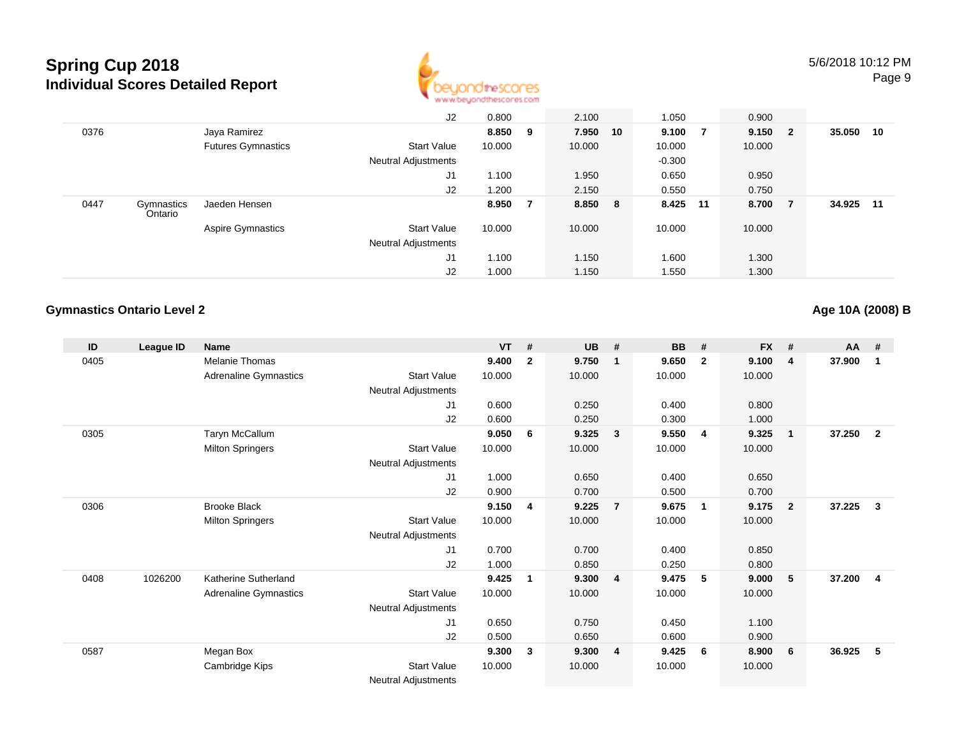

|                               |                           | J <sub>2</sub>             | 0.800  |    | 2.100    | 1.050    |                | 0.900   |     |        |       |
|-------------------------------|---------------------------|----------------------------|--------|----|----------|----------|----------------|---------|-----|--------|-------|
| 0376                          | Jaya Ramirez              |                            | 8.850  | 9  | 7.950 10 | 9.100    | $\overline{7}$ | 9.150 2 |     | 35.050 | 10    |
|                               | <b>Futures Gymnastics</b> | <b>Start Value</b>         | 10.000 |    | 10.000   | 10.000   |                | 10.000  |     |        |       |
|                               |                           | <b>Neutral Adjustments</b> |        |    |          | $-0.300$ |                |         |     |        |       |
|                               |                           | J <sub>1</sub>             | 1.100  |    | 1.950    | 0.650    |                | 0.950   |     |        |       |
|                               |                           | J <sub>2</sub>             | 1.200  |    | 2.150    | 0.550    |                | 0.750   |     |        |       |
| 0447<br>Gymnastics<br>Ontario | Jaeden Hensen             |                            | 8.950  | -7 | 8.850 8  | 8.425 11 |                | 8.700   | - 7 | 34.925 | $-11$ |
|                               | Aspire Gymnastics         | <b>Start Value</b>         | 10.000 |    | 10.000   | 10.000   |                | 10.000  |     |        |       |
|                               |                           | <b>Neutral Adjustments</b> |        |    |          |          |                |         |     |        |       |
|                               |                           | J1                         | 1.100  |    | 1.150    | 1.600    |                | 1.300   |     |        |       |
|                               |                           | J2                         | 1.000  |    | 1.150    | 1.550    |                | 1.300   |     |        |       |

#### **Gymnastics Ontario Level 2**

**Age 10A (2008) B**

| ID   | League ID | <b>Name</b>                  |                            | <b>VT</b> | #              | <b>UB</b> | #                       | <b>BB</b> | #            | <b>FX</b> | #              | AA     | #              |
|------|-----------|------------------------------|----------------------------|-----------|----------------|-----------|-------------------------|-----------|--------------|-----------|----------------|--------|----------------|
| 0405 |           | Melanie Thomas               |                            | 9.400     | $\overline{2}$ | 9.750     | $\mathbf 1$             | 9.650     | $\mathbf{2}$ | 9.100     | $\overline{4}$ | 37.900 | $\mathbf 1$    |
|      |           | <b>Adrenaline Gymnastics</b> | <b>Start Value</b>         | 10.000    |                | 10.000    |                         | 10.000    |              | 10.000    |                |        |                |
|      |           |                              | Neutral Adjustments        |           |                |           |                         |           |              |           |                |        |                |
|      |           |                              | J1                         | 0.600     |                | 0.250     |                         | 0.400     |              | 0.800     |                |        |                |
|      |           |                              | J2                         | 0.600     |                | 0.250     |                         | 0.300     |              | 1.000     |                |        |                |
| 0305 |           | Taryn McCallum               |                            | 9.050     | 6              | 9.325     | $\overline{\mathbf{3}}$ | 9.550     | 4            | 9.325     | $\mathbf 1$    | 37.250 | $\overline{2}$ |
|      |           | <b>Milton Springers</b>      | <b>Start Value</b>         | 10.000    |                | 10.000    |                         | 10.000    |              | 10.000    |                |        |                |
|      |           |                              | Neutral Adjustments        |           |                |           |                         |           |              |           |                |        |                |
|      |           |                              | J1                         | 1.000     |                | 0.650     |                         | 0.400     |              | 0.650     |                |        |                |
|      |           |                              | J2                         | 0.900     |                | 0.700     |                         | 0.500     |              | 0.700     |                |        |                |
| 0306 |           | <b>Brooke Black</b>          |                            | 9.150     | 4              | 9.225     | $\overline{7}$          | 9.675     | -1           | 9.175     | $\overline{2}$ | 37.225 | $\mathbf{3}$   |
|      |           | <b>Milton Springers</b>      | <b>Start Value</b>         | 10.000    |                | 10.000    |                         | 10.000    |              | 10.000    |                |        |                |
|      |           |                              | Neutral Adjustments        |           |                |           |                         |           |              |           |                |        |                |
|      |           |                              | J1                         | 0.700     |                | 0.700     |                         | 0.400     |              | 0.850     |                |        |                |
|      |           |                              | J2                         | 1.000     |                | 0.850     |                         | 0.250     |              | 0.800     |                |        |                |
| 0408 | 1026200   | Katherine Sutherland         |                            | 9.425     | $\mathbf{1}$   | 9.300     | $\overline{4}$          | 9.475     | 5            | 9.000     | 5              | 37.200 | -4             |
|      |           | Adrenaline Gymnastics        | <b>Start Value</b>         | 10.000    |                | 10.000    |                         | 10.000    |              | 10.000    |                |        |                |
|      |           |                              | Neutral Adjustments        |           |                |           |                         |           |              |           |                |        |                |
|      |           |                              | J1                         | 0.650     |                | 0.750     |                         | 0.450     |              | 1.100     |                |        |                |
|      |           |                              | J2                         | 0.500     |                | 0.650     |                         | 0.600     |              | 0.900     |                |        |                |
| 0587 |           | Megan Box                    |                            | 9.300     | 3              | 9.300     | $\overline{4}$          | 9.425     | 6            | 8.900     | 6              | 36.925 | 5              |
|      |           | Cambridge Kips               | <b>Start Value</b>         | 10.000    |                | 10.000    |                         | 10.000    |              | 10.000    |                |        |                |
|      |           |                              | <b>Neutral Adjustments</b> |           |                |           |                         |           |              |           |                |        |                |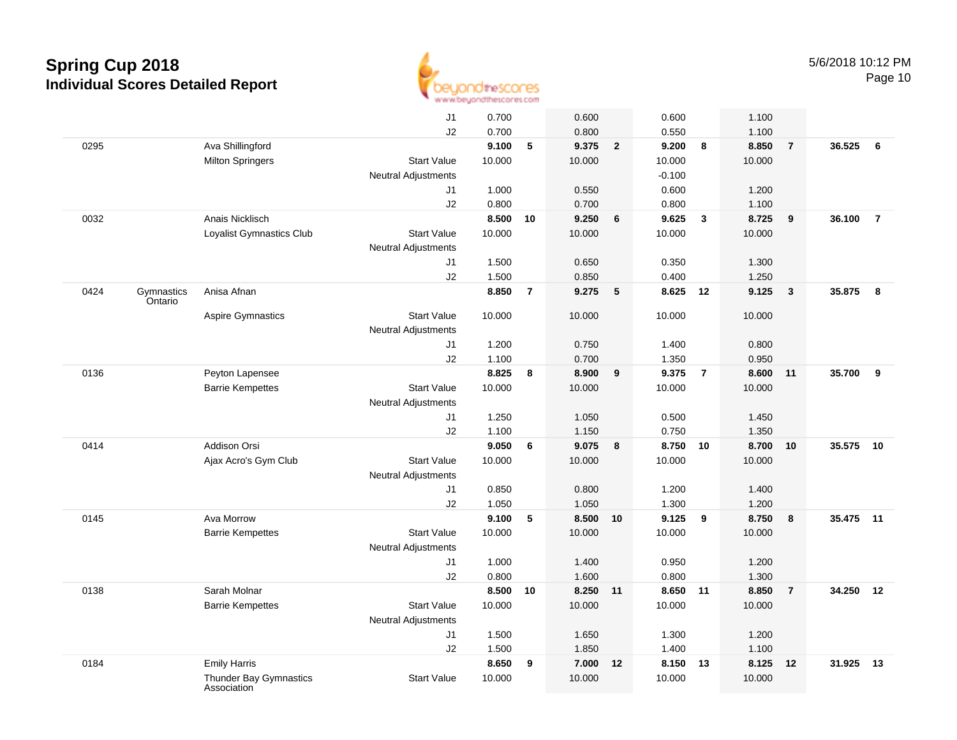

|      |                       |                          | J1                         | 0.700          |                | 0.600          |                | 0.600          |                | 1.100          |                |           |                 |
|------|-----------------------|--------------------------|----------------------------|----------------|----------------|----------------|----------------|----------------|----------------|----------------|----------------|-----------|-----------------|
|      |                       |                          | J2                         | 0.700          |                | 0.800          |                | 0.550          |                | 1.100          |                |           |                 |
| 0295 |                       | Ava Shillingford         |                            | 9.100          | 5              | 9.375          | $\overline{2}$ | 9.200          | 8              | 8.850          | $\overline{7}$ | 36.525    | $6\overline{6}$ |
|      |                       | <b>Milton Springers</b>  | <b>Start Value</b>         | 10.000         |                | 10.000         |                | 10.000         |                | 10.000         |                |           |                 |
|      |                       |                          | <b>Neutral Adjustments</b> |                |                |                |                | $-0.100$       |                |                |                |           |                 |
|      |                       |                          | J1                         | 1.000          |                | 0.550          |                | 0.600          |                | 1.200          |                |           |                 |
|      |                       |                          | J2                         | 0.800          |                | 0.700          |                | 0.800          |                | 1.100          |                |           |                 |
| 0032 |                       | Anais Nicklisch          |                            | 8.500          | 10             | 9.250          | 6              | 9.625          | $\mathbf{3}$   | 8.725          | 9              | 36.100    | $\overline{7}$  |
|      |                       | Loyalist Gymnastics Club | <b>Start Value</b>         | 10.000         |                | 10.000         |                | 10.000         |                | 10.000         |                |           |                 |
|      |                       |                          | <b>Neutral Adjustments</b> |                |                |                |                |                |                |                |                |           |                 |
|      |                       |                          | J1                         | 1.500          |                | 0.650          |                | 0.350          |                | 1.300          |                |           |                 |
|      |                       |                          | J2                         | 1.500          |                | 0.850          |                | 0.400          |                | 1.250          |                |           |                 |
| 0424 | Gymnastics<br>Ontario | Anisa Afnan              |                            | 8.850          | $\overline{7}$ | 9.275          | 5              | 8.625          | 12             | 9.125          | $\mathbf{3}$   | 35.875    | 8               |
|      |                       | Aspire Gymnastics        | <b>Start Value</b>         | 10.000         |                | 10.000         |                | 10.000         |                | 10.000         |                |           |                 |
|      |                       |                          | <b>Neutral Adjustments</b> |                |                |                |                |                |                |                |                |           |                 |
|      |                       |                          | J1                         | 1.200          |                | 0.750          |                | 1.400          |                | 0.800          |                |           |                 |
|      |                       |                          | J2                         | 1.100          |                | 0.700          |                | 1.350          |                | 0.950          |                |           |                 |
| 0136 |                       | Peyton Lapensee          |                            | 8.825          | 8              | 8.900          | 9              | 9.375          | $\overline{7}$ | 8.600          | 11             | 35.700    | 9               |
|      |                       | <b>Barrie Kempettes</b>  | <b>Start Value</b>         | 10.000         |                | 10.000         |                | 10.000         |                | 10.000         |                |           |                 |
|      |                       |                          | <b>Neutral Adjustments</b> |                |                |                |                |                |                |                |                |           |                 |
|      |                       |                          | J1                         | 1.250          |                | 1.050          |                | 0.500          |                | 1.450          |                |           |                 |
|      |                       |                          | J2                         | 1.100          |                | 1.150          |                | 0.750          |                | 1.350          |                |           |                 |
| 0414 |                       | Addison Orsi             |                            | 9.050          | 6              | 9.075          | 8              | 8.750 10       |                | 8.700          | 10             | 35.575    | 10              |
|      |                       | Ajax Acro's Gym Club     | <b>Start Value</b>         | 10.000         |                | 10.000         |                | 10.000         |                | 10.000         |                |           |                 |
|      |                       |                          | <b>Neutral Adjustments</b> |                |                |                |                |                |                |                |                |           |                 |
|      |                       |                          | J1                         | 0.850          |                | 0.800          |                | 1.200          |                | 1.400          |                |           |                 |
|      |                       |                          | J2                         | 1.050          |                | 1.050          |                | 1.300          |                | 1.200          |                |           |                 |
| 0145 |                       | Ava Morrow               |                            | 9.100          | 5              | 8.500          | 10             | 9.125          | 9              | 8.750          | 8              | 35.475 11 |                 |
|      |                       | <b>Barrie Kempettes</b>  | <b>Start Value</b>         | 10.000         |                | 10.000         |                | 10.000         |                | 10.000         |                |           |                 |
|      |                       |                          | <b>Neutral Adjustments</b> |                |                |                |                |                |                |                |                |           |                 |
|      |                       |                          | J1                         | 1.000          |                | 1.400          |                | 0.950          |                | 1.200          |                |           |                 |
|      |                       |                          | J2                         | 0.800          |                | 1.600          |                | 0.800          |                | 1.300          |                |           |                 |
| 0138 |                       | Sarah Molnar             |                            | 8.500          | 10             | 8.250          | $-11$          | 8.650          | 11             | 8.850          | $\overline{7}$ | 34.250    | 12              |
|      |                       | <b>Barrie Kempettes</b>  | <b>Start Value</b>         | 10.000         |                | 10.000         |                | 10.000         |                | 10.000         |                |           |                 |
|      |                       |                          | <b>Neutral Adjustments</b> |                |                |                |                |                |                |                |                |           |                 |
|      |                       |                          | J1                         | 1.500<br>1.500 |                | 1.650<br>1.850 |                | 1.300<br>1.400 |                | 1.200          |                |           |                 |
| 0184 |                       | <b>Emily Harris</b>      | J2                         | 8.650          | 9              | 7.000          | 12             | 8.150          | 13             | 1.100<br>8.125 | 12             | 31.925    | - 13            |
|      |                       | Thunder Bay Gymnastics   | <b>Start Value</b>         | 10.000         |                | 10.000         |                | 10.000         |                | 10.000         |                |           |                 |
|      |                       | Association              |                            |                |                |                |                |                |                |                |                |           |                 |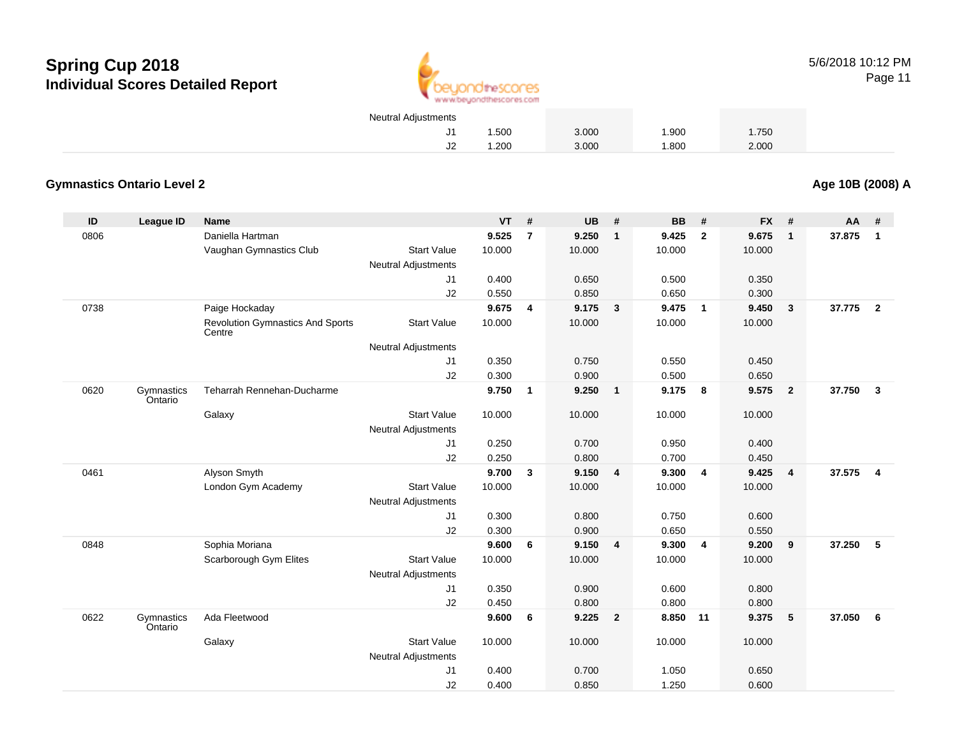

5/6/2018 10:12 PMPage 11

| Neutral Adjustments |       |       |       |       |  |
|---------------------|-------|-------|-------|-------|--|
| J1                  | 1.500 | 3.000 | 1.900 | 1.750 |  |
| J2                  | .200  | 3.000 | 1.800 | 2.000 |  |

#### **Gymnastics Ontario Level 2Age 10B (2008) A**

**ID League ID Name VT # UB # BB # FX # AA #** 0806 Daniella Hartman **9.525 <sup>7</sup> 9.250 <sup>1</sup> 9.425 <sup>2</sup> 9.675 <sup>1</sup> 37.875 <sup>1</sup>** Vaughan Gymnastics Club Start Value 10.000 10.000 10.000 10.000 Neutral Adjustments J1 0.400 0.650 0.500 0.350 J2 0.550 0.850 0.650 0.300 0738 Paige Hockaday **9.675 <sup>4</sup> 9.175 <sup>3</sup> 9.475 <sup>1</sup> 9.450 <sup>3</sup> 37.775 <sup>2</sup>** Revolution Gymnastics And Sports**Centre** Start Valuee 10.000 10.000 10.000 10.000 Neutral Adjustments J1 0.350 0.750 0.550 0.450 J2 0.300 0.900 0.500 0.650 0620 Gymnastics OntarioTeharrah Rennehan-Ducharme **9.750 <sup>1</sup> 9.250 <sup>1</sup> 9.175 <sup>8</sup> 9.575 <sup>2</sup> 37.750 <sup>3</sup> Galaxy**  Start Valuee 10.000 10.000 10.000 10.000 Neutral Adjustments J1 0.250 0.700 0.950 0.400 J2 0.250 0.800 0.700 0.450 0461 Alyson Smyth **9.700 <sup>3</sup> 9.150 <sup>4</sup> 9.300 <sup>4</sup> 9.425 <sup>4</sup> 37.575 <sup>4</sup>** London Gym Academy Start Valuee 10.000 10.000 10.000 10.000 Neutral Adjustments J1 0.300 0.800 0.750 0.600 J2 0.300 0.900 0.650 0.550 0848 Sophia Moriana **9.600 <sup>6</sup> 9.150 <sup>4</sup> 9.300 <sup>4</sup> 9.200 <sup>9</sup> 37.250 <sup>5</sup>** Scarborough Gym Elites Start Valuee 10.000 10.000 10.000 10.000 Neutral Adjustments J1 0.350 0.900 0.600 0.800 J2 0.450 0.800 0.800 0.800 0622 Gymnastics OntarioAda Fleetwood **9.600 <sup>6</sup> 9.225 <sup>2</sup> 8.850 <sup>11</sup> 9.375 <sup>5</sup> 37.050 <sup>6</sup>** Galaxy Start Valuee 10.000 10.000 10.000 10.000 Neutral Adjustments J1 0.400 0.700 1.050 0.650 J20.400 0.850 1.250 0.600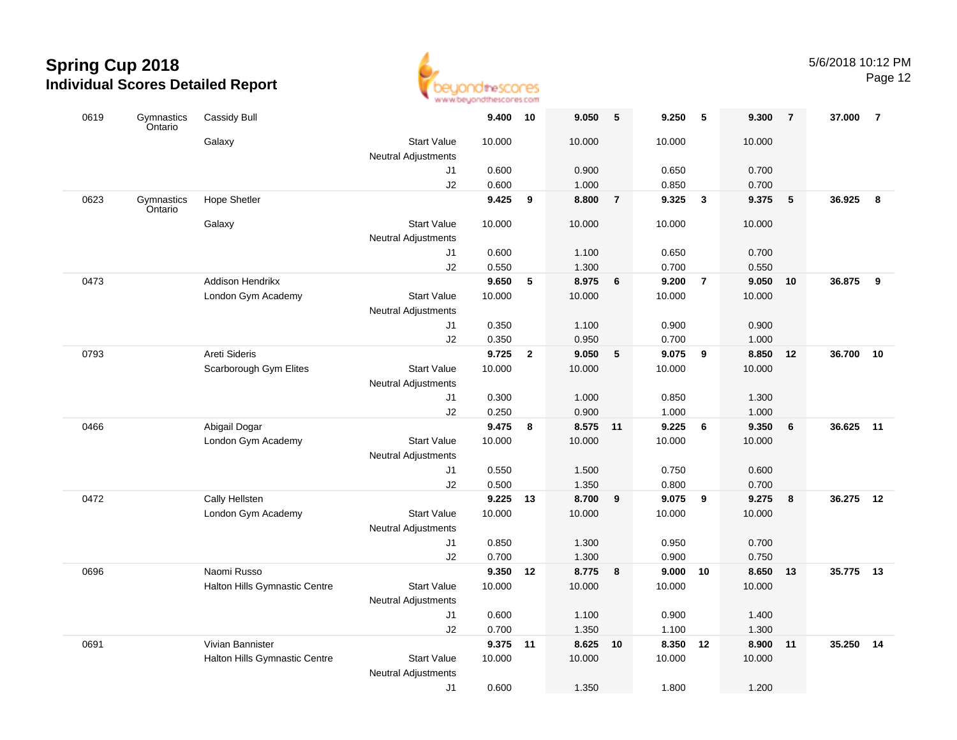

|      |                       |                                      | <b>THE THE THE WAY IN THE </b> |                |                |                |                |                 |                |                 |                |           |                |
|------|-----------------------|--------------------------------------|--------------------------------|----------------|----------------|----------------|----------------|-----------------|----------------|-----------------|----------------|-----------|----------------|
| 0619 | Gymnastics<br>Ontario | Cassidy Bull                         |                                | 9.400 10       |                | 9.050          | 5              | 9.250           | - 5            | 9.300           | $\overline{7}$ | 37.000    | $\overline{7}$ |
|      |                       | Galaxy                               | <b>Start Value</b>             | 10.000         |                | 10.000         |                | 10.000          |                | 10.000          |                |           |                |
|      |                       |                                      | Neutral Adjustments            |                |                |                |                |                 |                |                 |                |           |                |
|      |                       |                                      | J1                             | 0.600          |                | 0.900          |                | 0.650           |                | 0.700           |                |           |                |
|      |                       |                                      | J2                             | 0.600          |                | 1.000          |                | 0.850           |                | 0.700           |                |           |                |
| 0623 | Gymnastics<br>Ontario | Hope Shetler                         |                                | 9.425          | 9              | 8.800          | $\overline{7}$ | 9.325           | $\mathbf{3}$   | 9.375           | 5              | 36.925    | 8              |
|      |                       | Galaxy                               | <b>Start Value</b>             | 10.000         |                | 10.000         |                | 10.000          |                | 10.000          |                |           |                |
|      |                       |                                      | <b>Neutral Adjustments</b>     |                |                |                |                |                 |                |                 |                |           |                |
|      |                       |                                      | J1                             | 0.600          |                | 1.100          |                | 0.650           |                | 0.700           |                |           |                |
|      |                       |                                      | J2                             | 0.550          |                | 1.300          |                | 0.700           |                | 0.550           |                |           |                |
| 0473 |                       | <b>Addison Hendrikx</b>              |                                | 9.650          | 5              | 8.975          | 6              | 9.200           | $\overline{7}$ | 9.050           | 10             | 36.875    | - 9            |
|      |                       | London Gym Academy                   | <b>Start Value</b>             | 10.000         |                | 10.000         |                | 10.000          |                | 10.000          |                |           |                |
|      |                       |                                      | Neutral Adjustments            |                |                |                |                |                 |                |                 |                |           |                |
|      |                       |                                      | J1                             | 0.350          |                | 1.100          |                | 0.900           |                | 0.900           |                |           |                |
|      |                       |                                      | J2                             | 0.350          |                | 0.950          |                | 0.700           |                | 1.000           |                |           |                |
| 0793 |                       | Areti Sideris                        |                                | 9.725          | $\overline{2}$ | 9.050          | 5              | 9.075           | 9              | 8.850           | 12             | 36.700    | 10             |
|      |                       | Scarborough Gym Elites               | <b>Start Value</b>             | 10.000         |                | 10.000         |                | 10.000          |                | 10.000          |                |           |                |
|      |                       |                                      | Neutral Adjustments            |                |                |                |                |                 |                |                 |                |           |                |
|      |                       |                                      | J1                             | 0.300          |                | 1.000          |                | 0.850           |                | 1.300           |                |           |                |
|      |                       |                                      | J2                             | 0.250          |                | 0.900          |                | 1.000           |                | 1.000           |                |           |                |
| 0466 |                       | Abigail Dogar                        |                                | 9.475          | 8              | 8.575 11       |                | 9.225           | 6              | 9.350           | 6              | 36.625 11 |                |
|      |                       | London Gym Academy                   | <b>Start Value</b>             | 10.000         |                | 10.000         |                | 10.000          |                | 10.000          |                |           |                |
|      |                       |                                      | Neutral Adjustments            |                |                |                |                |                 |                |                 |                |           |                |
|      |                       |                                      | J1                             | 0.550          |                | 1.500          |                | 0.750           |                | 0.600           |                |           |                |
|      |                       |                                      | J2                             | 0.500          |                | 1.350          |                | 0.800           |                | 0.700           |                |           |                |
| 0472 |                       | Cally Hellsten                       |                                | 9.225 13       |                | 8.700          | 9              | 9.075           | 9              | 9.275           | 8              | 36.275    | 12             |
|      |                       | London Gym Academy                   | <b>Start Value</b>             | 10.000         |                | 10.000         |                | 10.000          |                | 10.000          |                |           |                |
|      |                       |                                      | <b>Neutral Adjustments</b>     |                |                |                |                |                 |                |                 |                |           |                |
|      |                       |                                      | J1                             | 0.850<br>0.700 |                | 1.300          |                | 0.950           |                | 0.700           |                |           |                |
|      |                       |                                      | J2                             |                |                | 1.300          |                | 0.900           |                | 0.750           |                |           |                |
| 0696 |                       | Naomi Russo                          |                                | 9.350 12       |                | 8.775          | 8              | 9.000           | 10             | 8.650           | 13             | 35.775 13 |                |
|      |                       | Halton Hills Gymnastic Centre        | <b>Start Value</b>             | 10.000         |                | 10.000         |                | 10.000          |                | 10.000          |                |           |                |
|      |                       |                                      | <b>Neutral Adjustments</b>     |                |                |                |                |                 |                |                 |                |           |                |
|      |                       |                                      | J1                             | 0.600<br>0.700 |                | 1.100<br>1.350 |                | 0.900           |                | 1.400           |                |           |                |
|      |                       | Vivian Bannister                     | J2                             | 9.375 11       |                | 8.625          | 10             | 1.100           | 12             | 1.300           |                | 35.250    | 14             |
| 0691 |                       |                                      | <b>Start Value</b>             | 10.000         |                | 10.000         |                | 8.350<br>10.000 |                | 8.900<br>10.000 | 11             |           |                |
|      |                       | <b>Halton Hills Gymnastic Centre</b> | <b>Neutral Adjustments</b>     |                |                |                |                |                 |                |                 |                |           |                |
|      |                       |                                      |                                | 0.600          |                |                |                |                 |                |                 |                |           |                |
|      |                       |                                      | J1                             |                |                | 1.350          |                | 1.800           |                | 1.200           |                |           |                |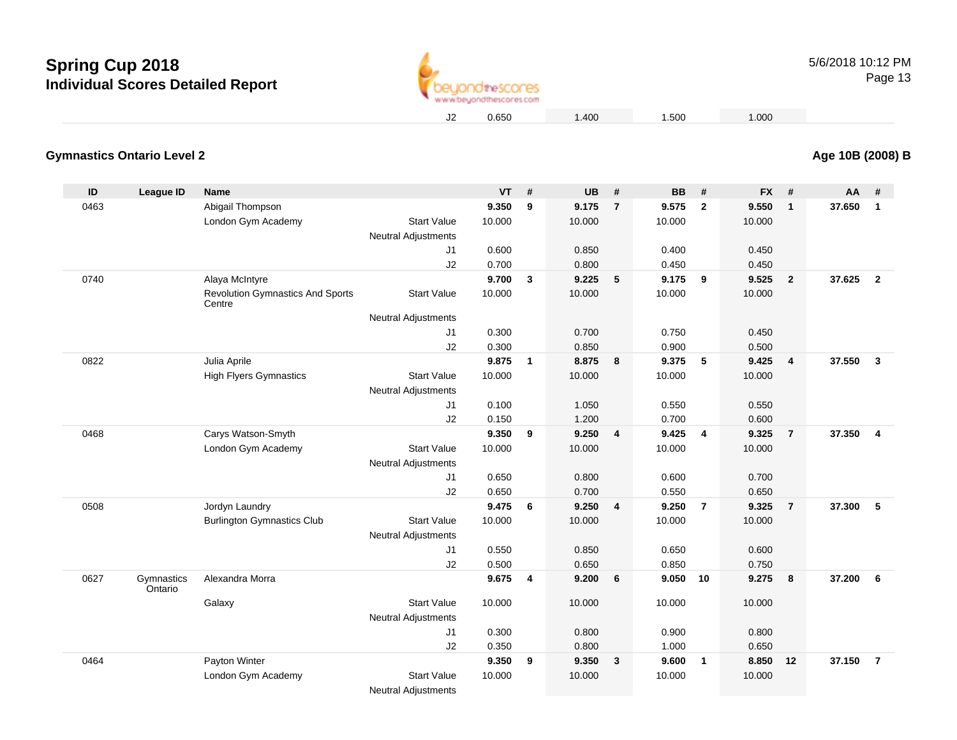

**Age 10B (2008) B**

### **Gymnastics Ontario Level 2**

| $\mathsf{ID}$ | League ID             | <b>Name</b>                                       |                            | <b>VT</b> | #            | <b>UB</b> | #                       | <b>BB</b> | #              | <b>FX</b> | #              | AA     | #                       |
|---------------|-----------------------|---------------------------------------------------|----------------------------|-----------|--------------|-----------|-------------------------|-----------|----------------|-----------|----------------|--------|-------------------------|
| 0463          |                       | Abigail Thompson                                  |                            | 9.350     | 9            | 9.175     | $\overline{7}$          | 9.575     | $\overline{2}$ | 9.550     | $\mathbf{1}$   | 37.650 | $\mathbf{1}$            |
|               |                       | London Gym Academy                                | <b>Start Value</b>         | 10.000    |              | 10.000    |                         | 10.000    |                | 10.000    |                |        |                         |
|               |                       |                                                   | <b>Neutral Adjustments</b> |           |              |           |                         |           |                |           |                |        |                         |
|               |                       |                                                   | J1                         | 0.600     |              | 0.850     |                         | 0.400     |                | 0.450     |                |        |                         |
|               |                       |                                                   | J <sub>2</sub>             | 0.700     |              | 0.800     |                         | 0.450     |                | 0.450     |                |        |                         |
| 0740          |                       | Alaya McIntyre                                    |                            | 9.700     | $\mathbf{3}$ | 9.225     | 5                       | 9.175     | 9              | 9.525     | $\overline{2}$ | 37.625 | $\overline{2}$          |
|               |                       | <b>Revolution Gymnastics And Sports</b><br>Centre | <b>Start Value</b>         | 10.000    |              | 10.000    |                         | 10.000    |                | 10.000    |                |        |                         |
|               |                       |                                                   | <b>Neutral Adjustments</b> |           |              |           |                         |           |                |           |                |        |                         |
|               |                       |                                                   | J1                         | 0.300     |              | 0.700     |                         | 0.750     |                | 0.450     |                |        |                         |
|               |                       |                                                   | J2                         | 0.300     |              | 0.850     |                         | 0.900     |                | 0.500     |                |        |                         |
| 0822          |                       | Julia Aprile                                      |                            | 9.875     | $\mathbf{1}$ | 8.875     | $\boldsymbol{8}$        | 9.375     | $\sqrt{5}$     | 9.425     | 4              | 37.550 | $\overline{\mathbf{3}}$ |
|               |                       | <b>High Flyers Gymnastics</b>                     | <b>Start Value</b>         | 10.000    |              | 10.000    |                         | 10.000    |                | 10.000    |                |        |                         |
|               |                       |                                                   | <b>Neutral Adjustments</b> |           |              |           |                         |           |                |           |                |        |                         |
|               |                       |                                                   | J1                         | 0.100     |              | 1.050     |                         | 0.550     |                | 0.550     |                |        |                         |
|               |                       |                                                   | J2                         | 0.150     |              | 1.200     |                         | 0.700     |                | 0.600     |                |        |                         |
| 0468          |                       | Carys Watson-Smyth                                |                            | 9.350     | 9            | 9.250     | $\overline{4}$          | 9.425     | $\overline{4}$ | 9.325     | $\overline{7}$ | 37.350 | $\overline{\mathbf{4}}$ |
|               |                       | London Gym Academy                                | <b>Start Value</b>         | 10.000    |              | 10.000    |                         | 10.000    |                | 10.000    |                |        |                         |
|               |                       |                                                   | <b>Neutral Adjustments</b> |           |              |           |                         |           |                |           |                |        |                         |
|               |                       |                                                   | J1                         | 0.650     |              | 0.800     |                         | 0.600     |                | 0.700     |                |        |                         |
|               |                       |                                                   | J2                         | 0.650     |              | 0.700     |                         | 0.550     |                | 0.650     |                |        |                         |
| 0508          |                       | Jordyn Laundry                                    |                            | 9.475     | 6            | 9.250     | $\overline{4}$          | 9.250     | $\overline{7}$ | 9.325     | $\overline{7}$ | 37.300 | 5                       |
|               |                       | <b>Burlington Gymnastics Club</b>                 | <b>Start Value</b>         | 10.000    |              | 10.000    |                         | 10.000    |                | 10.000    |                |        |                         |
|               |                       |                                                   | <b>Neutral Adjustments</b> |           |              |           |                         |           |                |           |                |        |                         |
|               |                       |                                                   | J1                         | 0.550     |              | 0.850     |                         | 0.650     |                | 0.600     |                |        |                         |
|               |                       |                                                   | J2                         | 0.500     |              | 0.650     |                         | 0.850     |                | 0.750     |                |        |                         |
| 0627          | Gymnastics<br>Ontario | Alexandra Morra                                   |                            | 9.675     | 4            | 9.200     | 6                       | 9.050     | 10             | 9.275     | 8              | 37.200 | 6                       |
|               |                       | Galaxy                                            | <b>Start Value</b>         | 10.000    |              | 10.000    |                         | 10.000    |                | 10.000    |                |        |                         |
|               |                       |                                                   | <b>Neutral Adjustments</b> |           |              |           |                         |           |                |           |                |        |                         |
|               |                       |                                                   | J <sub>1</sub>             | 0.300     |              | 0.800     |                         | 0.900     |                | 0.800     |                |        |                         |
|               |                       |                                                   | J2                         | 0.350     |              | 0.800     |                         | 1.000     |                | 0.650     |                |        |                         |
| 0464          |                       | Payton Winter                                     |                            | 9.350     | 9            | 9.350     | $\overline{\mathbf{3}}$ | 9.600     | $\overline{1}$ | 8.850     | 12             | 37.150 | $\overline{7}$          |
|               |                       | London Gym Academy                                | <b>Start Value</b>         | 10.000    |              | 10.000    |                         | 10.000    |                | 10.000    |                |        |                         |
|               |                       |                                                   | <b>Neutral Adjustments</b> |           |              |           |                         |           |                |           |                |        |                         |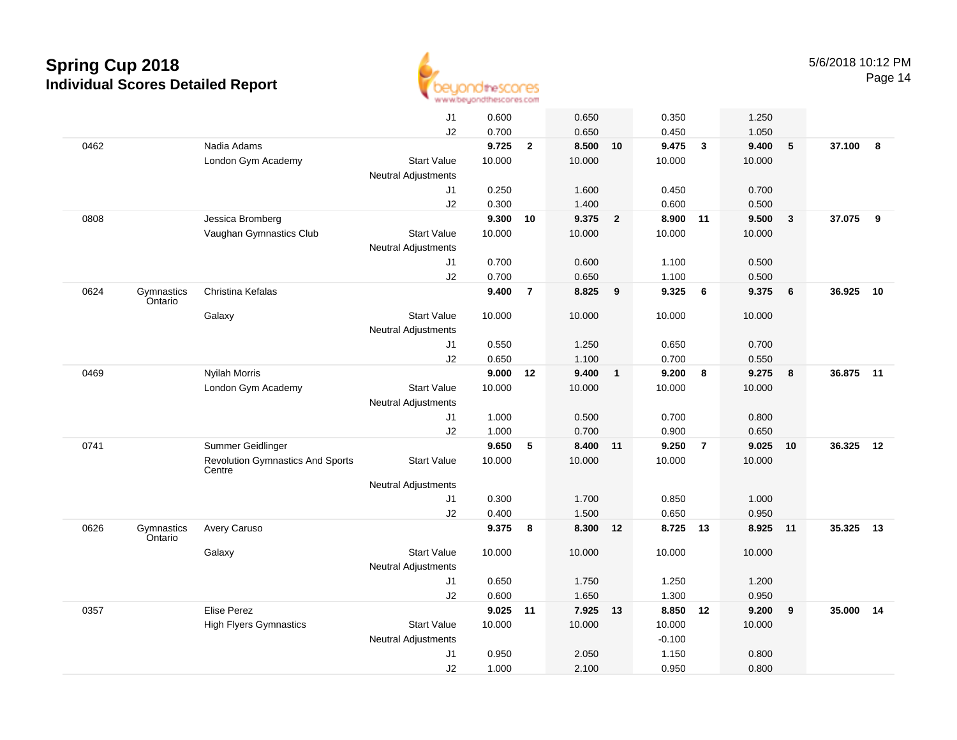

|      |                       |                                                   | J1                         | 0.600  |                | 0.650    |                         | 0.350    |                         | 1.250  |              |           |    |
|------|-----------------------|---------------------------------------------------|----------------------------|--------|----------------|----------|-------------------------|----------|-------------------------|--------|--------------|-----------|----|
|      |                       |                                                   | J2                         | 0.700  |                | 0.650    |                         | 0.450    |                         | 1.050  |              |           |    |
| 0462 |                       | Nadia Adams                                       |                            | 9.725  | $\mathbf{2}$   | 8.500 10 |                         | 9.475    | $\overline{\mathbf{3}}$ | 9.400  | 5            | 37.100 8  |    |
|      |                       | London Gym Academy                                | <b>Start Value</b>         | 10.000 |                | 10.000   |                         | 10.000   |                         | 10.000 |              |           |    |
|      |                       |                                                   | <b>Neutral Adjustments</b> |        |                |          |                         |          |                         |        |              |           |    |
|      |                       |                                                   | J1                         | 0.250  |                | 1.600    |                         | 0.450    |                         | 0.700  |              |           |    |
|      |                       |                                                   | J2                         | 0.300  |                | 1.400    |                         | 0.600    |                         | 0.500  |              |           |    |
| 0808 |                       | Jessica Bromberg                                  |                            | 9.300  | 10             | 9.375    | $\overline{\mathbf{2}}$ | 8.900 11 |                         | 9.500  | $\mathbf{3}$ | 37.075    | 9  |
|      |                       | Vaughan Gymnastics Club                           | <b>Start Value</b>         | 10.000 |                | 10.000   |                         | 10.000   |                         | 10.000 |              |           |    |
|      |                       |                                                   | <b>Neutral Adjustments</b> |        |                |          |                         |          |                         |        |              |           |    |
|      |                       |                                                   | J1                         | 0.700  |                | 0.600    |                         | 1.100    |                         | 0.500  |              |           |    |
|      |                       |                                                   | J2                         | 0.700  |                | 0.650    |                         | 1.100    |                         | 0.500  |              |           |    |
| 0624 | Gymnastics<br>Ontario | Christina Kefalas                                 |                            | 9.400  | $\overline{7}$ | 8.825    | 9                       | 9.325    | 6                       | 9.375  | 6            | 36.925    | 10 |
|      |                       | Galaxy                                            | <b>Start Value</b>         | 10.000 |                | 10.000   |                         | 10.000   |                         | 10.000 |              |           |    |
|      |                       |                                                   | Neutral Adjustments        |        |                |          |                         |          |                         |        |              |           |    |
|      |                       |                                                   | J1                         | 0.550  |                | 1.250    |                         | 0.650    |                         | 0.700  |              |           |    |
|      |                       |                                                   | J2                         | 0.650  |                | 1.100    |                         | 0.700    |                         | 0.550  |              |           |    |
| 0469 |                       | <b>Nyilah Morris</b>                              |                            | 9.000  | 12             | 9.400    | $\mathbf{1}$            | 9.200    | 8                       | 9.275  | 8            | 36.875 11 |    |
|      |                       | London Gym Academy                                | <b>Start Value</b>         | 10.000 |                | 10.000   |                         | 10.000   |                         | 10.000 |              |           |    |
|      |                       |                                                   | <b>Neutral Adjustments</b> |        |                |          |                         |          |                         |        |              |           |    |
|      |                       |                                                   | J1                         | 1.000  |                | 0.500    |                         | 0.700    |                         | 0.800  |              |           |    |
|      |                       |                                                   | J2                         | 1.000  |                | 0.700    |                         | 0.900    |                         | 0.650  |              |           |    |
| 0741 |                       | Summer Geidlinger                                 |                            | 9.650  | 5              | 8.400 11 |                         | 9.250    | $\overline{7}$          | 9.025  | 10           | 36.325    | 12 |
|      |                       | <b>Revolution Gymnastics And Sports</b><br>Centre | <b>Start Value</b>         | 10.000 |                | 10.000   |                         | 10.000   |                         | 10.000 |              |           |    |
|      |                       |                                                   | Neutral Adjustments        |        |                |          |                         |          |                         |        |              |           |    |
|      |                       |                                                   | J1                         | 0.300  |                | 1.700    |                         | 0.850    |                         | 1.000  |              |           |    |
|      |                       |                                                   | J2                         | 0.400  |                | 1.500    |                         | 0.650    |                         | 0.950  |              |           |    |
| 0626 | Gymnastics<br>Ontario | Avery Caruso                                      |                            | 9.375  | 8              | 8.300    | 12                      | 8.725 13 |                         | 8.925  | 11           | 35.325    | 13 |
|      |                       | Galaxy                                            | <b>Start Value</b>         | 10.000 |                | 10.000   |                         | 10.000   |                         | 10.000 |              |           |    |
|      |                       |                                                   | <b>Neutral Adjustments</b> |        |                |          |                         |          |                         |        |              |           |    |
|      |                       |                                                   | J1                         | 0.650  |                | 1.750    |                         | 1.250    |                         | 1.200  |              |           |    |
|      |                       |                                                   | J2                         | 0.600  |                | 1.650    |                         | 1.300    |                         | 0.950  |              |           |    |
| 0357 |                       | <b>Elise Perez</b>                                |                            | 9.025  | 11             | 7.925    | 13                      | 8.850    | 12                      | 9.200  | 9            | 35.000    | 14 |
|      |                       | <b>High Flyers Gymnastics</b>                     | <b>Start Value</b>         | 10.000 |                | 10.000   |                         | 10.000   |                         | 10.000 |              |           |    |
|      |                       |                                                   | <b>Neutral Adjustments</b> |        |                |          |                         | $-0.100$ |                         |        |              |           |    |
|      |                       |                                                   | J1                         | 0.950  |                | 2.050    |                         | 1.150    |                         | 0.800  |              |           |    |
|      |                       |                                                   | J2                         | 1.000  |                | 2.100    |                         | 0.950    |                         | 0.800  |              |           |    |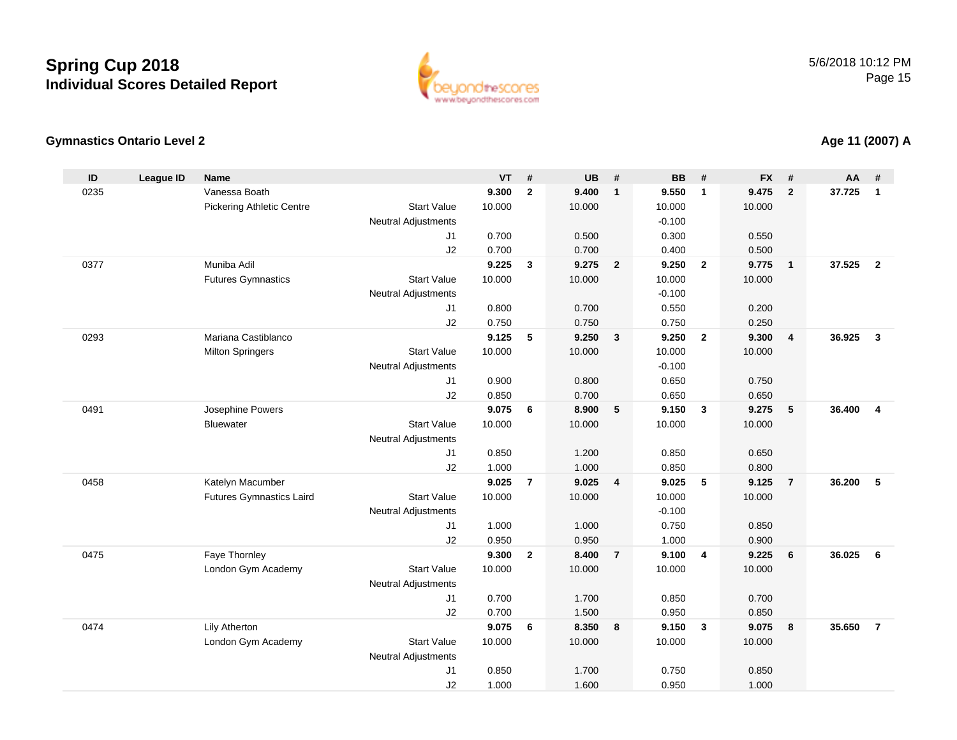

### **Gymnastics Ontario Level 2**

| ID   | <b>League ID</b> | <b>Name</b>                      |                            | <b>VT</b>      | #              | <b>UB</b>       | #                       | <b>BB</b>       | #                       | <b>FX</b>       | #              | AA     | #              |
|------|------------------|----------------------------------|----------------------------|----------------|----------------|-----------------|-------------------------|-----------------|-------------------------|-----------------|----------------|--------|----------------|
| 0235 |                  | Vanessa Boath                    |                            | 9.300          | $\mathbf{2}$   | 9.400           | $\overline{1}$          | 9.550           | $\overline{1}$          | 9.475           | $\overline{2}$ | 37.725 | $\mathbf{1}$   |
|      |                  | <b>Pickering Athletic Centre</b> | <b>Start Value</b>         | 10.000         |                | 10.000          |                         | 10.000          |                         | 10.000          |                |        |                |
|      |                  |                                  | <b>Neutral Adjustments</b> |                |                |                 |                         | $-0.100$        |                         |                 |                |        |                |
|      |                  |                                  | J <sub>1</sub>             | 0.700          |                | 0.500           |                         | 0.300           |                         | 0.550           |                |        |                |
|      |                  |                                  | J2                         | 0.700          |                | 0.700           |                         | 0.400           |                         | 0.500           |                |        |                |
| 0377 |                  | Muniba Adil                      |                            | 9.225          | $\mathbf{3}$   | 9.275           | $\overline{\mathbf{2}}$ | 9.250           | $\overline{2}$          | 9.775           | $\mathbf{1}$   | 37.525 | $\overline{2}$ |
|      |                  | <b>Futures Gymnastics</b>        | <b>Start Value</b>         | 10.000         |                | 10.000          |                         | 10.000          |                         | 10.000          |                |        |                |
|      |                  |                                  | <b>Neutral Adjustments</b> |                |                |                 |                         | $-0.100$        |                         |                 |                |        |                |
|      |                  |                                  | J1                         | 0.800          |                | 0.700           |                         | 0.550           |                         | 0.200           |                |        |                |
| 0293 |                  | Mariana Castiblanco              | J2                         | 0.750<br>9.125 | 5              | 0.750<br>9.250  | $\mathbf{3}$            | 0.750           | $\overline{2}$          | 0.250           | 4              | 36.925 | $\mathbf{3}$   |
|      |                  | <b>Milton Springers</b>          | <b>Start Value</b>         | 10.000         |                | 10.000          |                         | 9.250<br>10.000 |                         | 9.300<br>10.000 |                |        |                |
|      |                  |                                  | <b>Neutral Adjustments</b> |                |                |                 |                         | $-0.100$        |                         |                 |                |        |                |
|      |                  |                                  | J1                         | 0.900          |                | 0.800           |                         | 0.650           |                         | 0.750           |                |        |                |
|      |                  |                                  | J2                         | 0.850          |                | 0.700           |                         | 0.650           |                         | 0.650           |                |        |                |
| 0491 |                  | Josephine Powers                 |                            | 9.075          | 6              | 8.900           | $5\phantom{.0}$         | 9.150           | $\overline{\mathbf{3}}$ | 9.275           | 5              | 36.400 | $\overline{4}$ |
|      |                  | <b>Bluewater</b>                 | <b>Start Value</b>         | 10.000         |                | 10.000          |                         | 10.000          |                         | 10.000          |                |        |                |
|      |                  |                                  | <b>Neutral Adjustments</b> |                |                |                 |                         |                 |                         |                 |                |        |                |
|      |                  |                                  | J <sub>1</sub>             | 0.850          |                | 1.200           |                         | 0.850           |                         | 0.650           |                |        |                |
|      |                  |                                  | J2                         | 1.000          |                | 1.000           |                         | 0.850           |                         | 0.800           |                |        |                |
| 0458 |                  | Katelyn Macumber                 |                            | 9.025          | $\overline{7}$ | 9.025           | $\overline{\mathbf{4}}$ | 9.025           | 5                       | 9.125           | $\overline{7}$ | 36.200 | 5              |
|      |                  | <b>Futures Gymnastics Laird</b>  | <b>Start Value</b>         | 10.000         |                | 10.000          |                         | 10.000          |                         | 10.000          |                |        |                |
|      |                  |                                  | <b>Neutral Adjustments</b> |                |                |                 |                         | $-0.100$        |                         |                 |                |        |                |
|      |                  |                                  | J1                         | 1.000          |                | 1.000           |                         | 0.750           |                         | 0.850           |                |        |                |
|      |                  |                                  | J2                         | 0.950          |                | 0.950           |                         | 1.000           |                         | 0.900           |                |        |                |
| 0475 |                  | Faye Thornley                    |                            | 9.300          | $\mathbf{2}$   | 8.400           | $\overline{7}$          | 9.100           | 4                       | 9.225           | 6              | 36.025 | 6              |
|      |                  | London Gym Academy               | <b>Start Value</b>         | 10.000         |                | 10.000          |                         | 10.000          |                         | 10.000          |                |        |                |
|      |                  |                                  | <b>Neutral Adjustments</b> |                |                |                 |                         |                 |                         |                 |                |        |                |
|      |                  |                                  | J1                         | 0.700          |                | 1.700           |                         | 0.850           |                         | 0.700           |                |        |                |
| 0474 |                  |                                  | J2                         | 0.700<br>9.075 | 6              | 1.500           | 8                       | 0.950<br>9.150  | $\mathbf{3}$            | 0.850           | 8              | 35.650 | $\overline{7}$ |
|      |                  | <b>Lily Atherton</b>             | <b>Start Value</b>         | 10.000         |                | 8.350<br>10.000 |                         | 10.000          |                         | 9.075           |                |        |                |
|      |                  | London Gym Academy               | <b>Neutral Adjustments</b> |                |                |                 |                         |                 |                         | 10.000          |                |        |                |
|      |                  |                                  | J1                         | 0.850          |                | 1.700           |                         | 0.750           |                         | 0.850           |                |        |                |
|      |                  |                                  | J2                         | 1.000          |                | 1.600           |                         | 0.950           |                         | 1.000           |                |        |                |
|      |                  |                                  |                            |                |                |                 |                         |                 |                         |                 |                |        |                |

### **Age 11 (2007) A**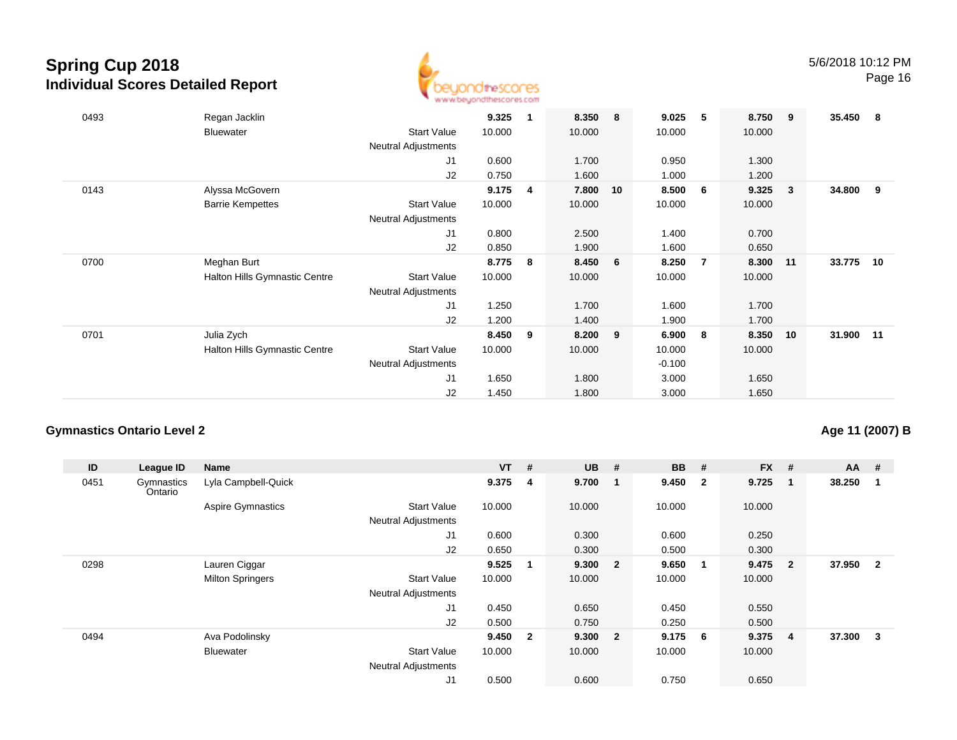

| 0493 | Regan Jacklin<br><b>Bluewater</b> | <b>Start Value</b><br><b>Neutral Adjustments</b> | 9.325<br>10.000 | 1 | 8.350<br>10.000 | 8               | 9.025<br>10.000 | $-5$           | 8.750<br>10.000 | 9            | 35.450 | - 8 |
|------|-----------------------------------|--------------------------------------------------|-----------------|---|-----------------|-----------------|-----------------|----------------|-----------------|--------------|--------|-----|
|      |                                   | J1                                               | 0.600           |   | 1.700           |                 | 0.950           |                | 1.300           |              |        |     |
|      |                                   | J2                                               | 0.750           |   | 1.600           |                 | 1.000           |                | 1.200           |              |        |     |
| 0143 | Alyssa McGovern                   |                                                  | 9.175           | 4 | 7.800           | 10              | 8.500           | - 6            | 9.325           | $\mathbf{3}$ | 34.800 | 9   |
|      | <b>Barrie Kempettes</b>           | Start Value                                      | 10.000          |   | 10.000          |                 | 10.000          |                | 10.000          |              |        |     |
|      |                                   | <b>Neutral Adjustments</b>                       |                 |   |                 |                 |                 |                |                 |              |        |     |
|      |                                   | J1                                               | 0.800           |   | 2.500           |                 | 1.400           |                | 0.700           |              |        |     |
|      |                                   | J <sub>2</sub>                                   | 0.850           |   | 1.900           |                 | 1.600           |                | 0.650           |              |        |     |
| 0700 | Meghan Burt                       |                                                  | 8.775           | 8 | 8.450           | $6\overline{6}$ | 8.250           | $\overline{7}$ | 8.300           | 11           | 33.775 | 10  |
|      | Halton Hills Gymnastic Centre     | Start Value                                      | 10.000          |   | 10.000          |                 | 10.000          |                | 10.000          |              |        |     |
|      |                                   | <b>Neutral Adjustments</b>                       |                 |   |                 |                 |                 |                |                 |              |        |     |
|      |                                   | J <sub>1</sub>                                   | 1.250           |   | 1.700           |                 | 1.600           |                | 1.700           |              |        |     |
|      |                                   | J2                                               | 1.200           |   | 1.400           |                 | 1.900           |                | 1.700           |              |        |     |
| 0701 | Julia Zych                        |                                                  | 8.450           | 9 | 8.200           | 9               | 6.900           | - 8            | 8.350           | 10           | 31.900 | 11  |
|      | Halton Hills Gymnastic Centre     | Start Value                                      | 10.000          |   | 10.000          |                 | 10.000          |                | 10.000          |              |        |     |
|      |                                   | <b>Neutral Adjustments</b>                       |                 |   |                 |                 | $-0.100$        |                |                 |              |        |     |
|      |                                   | J <sub>1</sub>                                   | 1.650           |   | 1.800           |                 | 3.000           |                | 1.650           |              |        |     |
|      |                                   | J2                                               | 1.450           |   | 1.800           |                 | 3.000           |                | 1.650           |              |        |     |

#### **Gymnastics Ontario Level 2**

#### **Age 11 (2007) B**

| ID   | League ID             | Name                     |                            | <b>VT</b> | #            | <b>UB</b> | #                       | <b>BB</b> | #              | <b>FX</b> | #              | $AA$ # |                |
|------|-----------------------|--------------------------|----------------------------|-----------|--------------|-----------|-------------------------|-----------|----------------|-----------|----------------|--------|----------------|
| 0451 | Gymnastics<br>Ontario | Lyla Campbell-Quick      |                            | 9.375     | 4            | 9.700     | - 1                     | 9.450     | $\overline{2}$ | 9.725     | 1              | 38.250 |                |
|      |                       | <b>Aspire Gymnastics</b> | <b>Start Value</b>         | 10.000    |              | 10.000    |                         | 10.000    |                | 10.000    |                |        |                |
|      |                       |                          | <b>Neutral Adjustments</b> |           |              |           |                         |           |                |           |                |        |                |
|      |                       |                          | J1                         | 0.600     |              | 0.300     |                         | 0.600     |                | 0.250     |                |        |                |
|      |                       |                          | J2                         | 0.650     |              | 0.300     |                         | 0.500     |                | 0.300     |                |        |                |
| 0298 |                       | Lauren Ciggar            |                            | 9.525     | -1           | 9.300     | $\overline{\mathbf{2}}$ | 9.650     | -1             | 9.475     | $\overline{2}$ | 37.950 | $\overline{2}$ |
|      |                       | <b>Milton Springers</b>  | <b>Start Value</b>         | 10.000    |              | 10.000    |                         | 10.000    |                | 10.000    |                |        |                |
|      |                       |                          | <b>Neutral Adjustments</b> |           |              |           |                         |           |                |           |                |        |                |
|      |                       |                          | J <sub>1</sub>             | 0.450     |              | 0.650     |                         | 0.450     |                | 0.550     |                |        |                |
|      |                       |                          | J2                         | 0.500     |              | 0.750     |                         | 0.250     |                | 0.500     |                |        |                |
| 0494 |                       | Ava Podolinsky           |                            | 9.450     | $\mathbf{2}$ | 9.300     | $\overline{\mathbf{2}}$ | 9.175     | 6              | 9.375     | 4              | 37.300 | 3              |
|      |                       | Bluewater                | <b>Start Value</b>         | 10.000    |              | 10.000    |                         | 10.000    |                | 10.000    |                |        |                |
|      |                       |                          | <b>Neutral Adjustments</b> |           |              |           |                         |           |                |           |                |        |                |
|      |                       |                          | J <sub>1</sub>             | 0.500     |              | 0.600     |                         | 0.750     |                | 0.650     |                |        |                |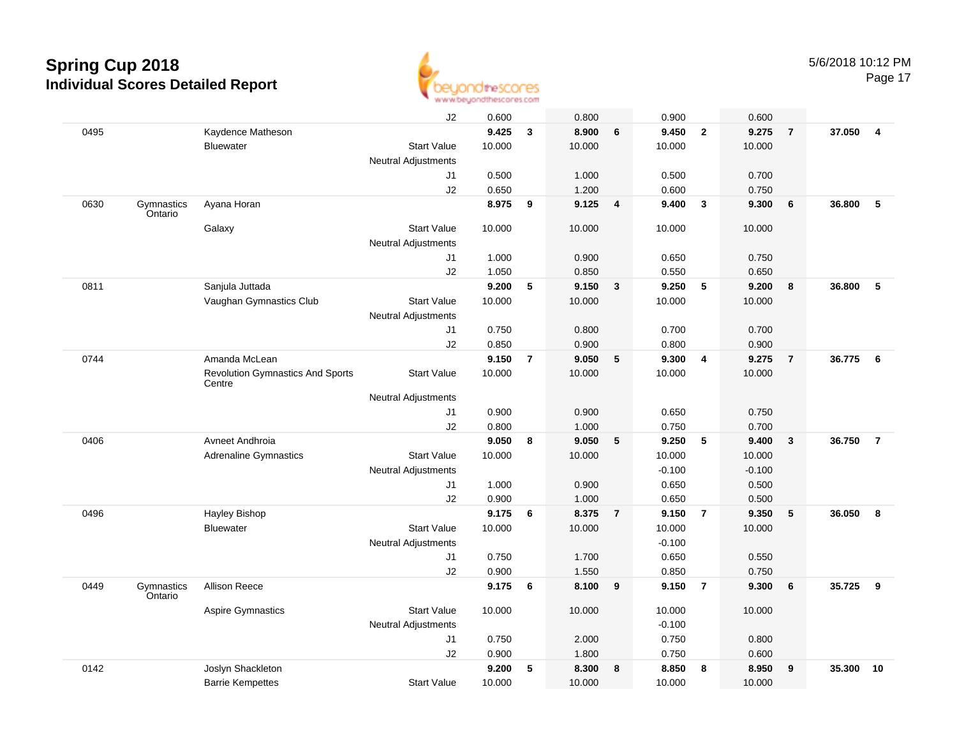

J2 0.600 0.800 0.900 0.600 0495 Kaydence Matheson **9.425 <sup>3</sup> 8.900 <sup>6</sup> 9.450 <sup>2</sup> 9.275 <sup>7</sup> 37.050 <sup>4</sup> Bluewater**  Start Valuee 10.000 10.000 10.000 10.000 Neutral Adjustments J1 0.500 1.000 0.500 0.700 J2 0.650 1.200 0.600 0.750 0630**Gymnastics** OntarioAyana Horan **8.975 <sup>9</sup> 9.125 <sup>4</sup> 9.400 <sup>3</sup> 9.300 <sup>6</sup> 36.800 <sup>5</sup>** Galaxy Start Valuee 10.000 10.000 10.000 10.000 Neutral Adjustments J1 1.000 0.900 0.650 0.750 J2 1.050 0.850 0.550 0.650 0811 Sanjula Juttada **9.200 <sup>5</sup> 9.150 <sup>3</sup> 9.250 <sup>5</sup> 9.200 <sup>8</sup> 36.800 <sup>5</sup>** Vaughan Gymnastics Club Start Value 10.000 10.000 10.000 10.000 Neutral Adjustments J1 0.750 0.800 0.700 0.700 J2 0.850 0.900 0.800 0.900 0744 Amanda McLean **9.150 <sup>7</sup> 9.050 <sup>5</sup> 9.300 <sup>4</sup> 9.275 <sup>7</sup> 36.775 <sup>6</sup>** Revolution Gymnastics And Sports**Centre** Start Valuee 10.000 10.000 10.000 10.000 Neutral Adjustments J1 0.900 0.900 0.650 0.750 J2 0.800 1.000 0.750 0.700 0406 Avneet Andhroia **9.050 <sup>8</sup> 9.050 <sup>5</sup> 9.250 <sup>5</sup> 9.400 <sup>3</sup> 36.750 <sup>7</sup>** Adrenaline Gymnastics Start Valuee 10.000 10.000 10.000 10.000 Neutral Adjustments $-0.100$ -0.100 -0.100<br>0.650 0.500 J1 1.000 0.900 0.650 0.500 J2 0.900 1.000 0.650 0.500 0496 Hayley Bishop **9.175 <sup>6</sup> 8.375 <sup>7</sup> 9.150 <sup>7</sup> 9.350 <sup>5</sup> 36.050 <sup>8</sup> Bluewater**  Start Valuee 10.000 10.000 10.000 10.000 Neutral Adjustments $-0.100$ 0.650 J1 0.750 1.700 0.650 0.550 J2 0.900 1.550 0.850 0.750 0449 Gymnastics OntarioAllison Reece **9.175 <sup>6</sup> 8.100 <sup>9</sup> 9.150 <sup>7</sup> 9.300 <sup>6</sup> 35.725 <sup>9</sup>** Aspire Gymnastics Start Valuee 10.000 10.000 10.000 10.000 Neutral Adjustments $\sim$  -0.100 0.750 J1 0.750 2.000 0.750 0.800 J2 0.900 1.800 0.750 0.600 0142 Joslyn Shackleton **9.200 <sup>5</sup> 8.300 <sup>8</sup> 8.850 <sup>8</sup> 8.950 <sup>9</sup> 35.300 <sup>10</sup>** Barrie Kempettes Start Valuee 10.000 10.000 10.000 10.000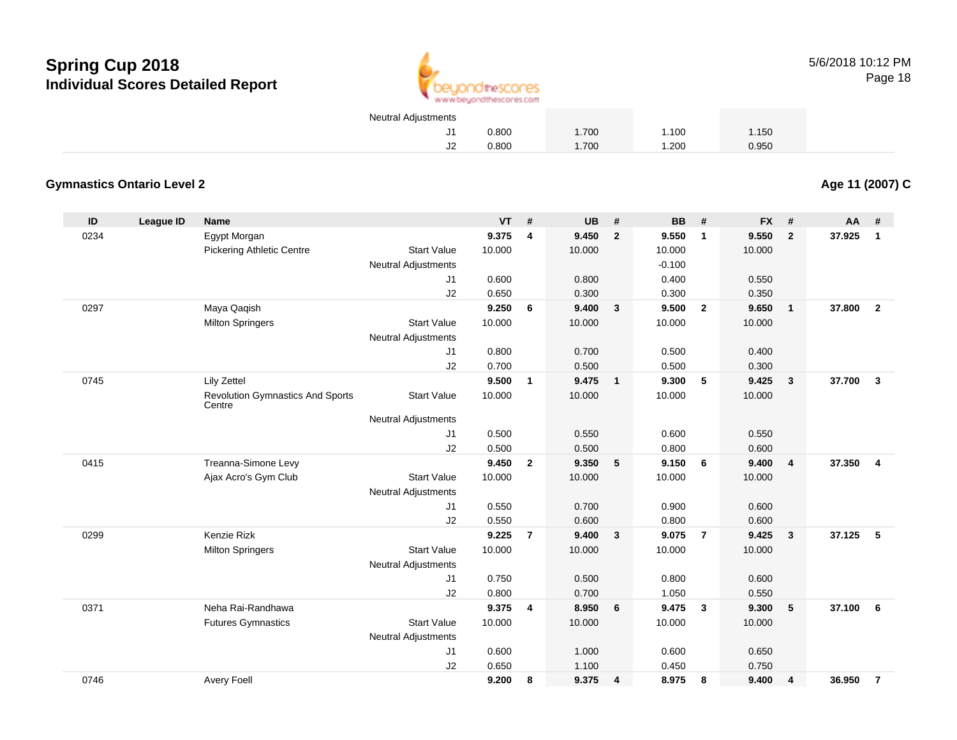

5/6/2018 10:12 PMPage 18

| Neutral Adjustments |       |       |       |       |  |
|---------------------|-------|-------|-------|-------|--|
|                     | 0.800 | 1.700 | 1.100 | 1.150 |  |
| J2                  | 0.800 | 1.700 | 1.200 | 0.950 |  |

#### **Gymnastics Ontario Level 2**

**ID League ID Name VT # UB # BB # FX # AA #** 0234 Egypt Morgan **9.375 <sup>4</sup> 9.450 <sup>2</sup> 9.550 <sup>1</sup> 9.550 <sup>2</sup> 37.925 <sup>1</sup>** Pickering Athletic Centre Start Value 10.000 10.000 10.000 10.000 Neutral Adjustments $-0.100$ 0.400 J1 0.600 0.800 0.400 0.550 J2 0.650 0.300 0.300 0.350 0297 Maya Qaqish **9.250 <sup>6</sup> 9.400 <sup>3</sup> 9.500 <sup>2</sup> 9.650 <sup>1</sup> 37.800 <sup>2</sup>** Milton Springers Start Valuee 10.000 10.000 10.000 10.000 Neutral Adjustments J1 0.800 0.700 0.500 0.400 J2 0.700 0.500 0.500 0.300 0745 Lily Zettel **9.500 <sup>1</sup> 9.475 <sup>1</sup> 9.300 <sup>5</sup> 9.425 <sup>3</sup> 37.700 <sup>3</sup>** Revolution Gymnastics And Sports**Centre** Start Valuee 10.000 10.000 10.000 10.000 Neutral Adjustments J1 0.500 0.550 0.600 0.550 J2 0.500 0.500 0.800 0.600 0415 Treanna-Simone Levy **9.450 <sup>2</sup> 9.350 <sup>5</sup> 9.150 <sup>6</sup> 9.400 <sup>4</sup> 37.350 <sup>4</sup>** Ajax Acro's Gym Club Start Value 10.000 10.000 10.000 10.000 Neutral Adjustments J1 0.550 0.700 0.900 0.600 J2 0.550 0.600 0.800 0.600 0299 Kenzie Rizk **9.225 <sup>7</sup> 9.400 <sup>3</sup> 9.075 <sup>7</sup> 9.425 <sup>3</sup> 37.125 <sup>5</sup>** Milton Springers Start Valuee 10.000 10.000 10.000 10.000 Neutral Adjustments J1 0.750 0.500 0.800 0.600 J2 0.800 0.700 1.050 0.550 0371 Neha Rai-Randhawa **9.375 <sup>4</sup> 8.950 <sup>6</sup> 9.475 <sup>3</sup> 9.300 <sup>5</sup> 37.100 <sup>6</sup>** Futures Gymnastics Start Valuee 10.000 10.000 10.000 10.000 Neutral Adjustments J1 0.600 1.000 0.600 0.650 J2 0.650 1.100 0.450 0.750 0746

Avery Foell **9.200 <sup>8</sup> 9.375 <sup>4</sup> 8.975 <sup>8</sup> 9.400 <sup>4</sup> 36.950 <sup>7</sup>**

**Age 11 (2007) C**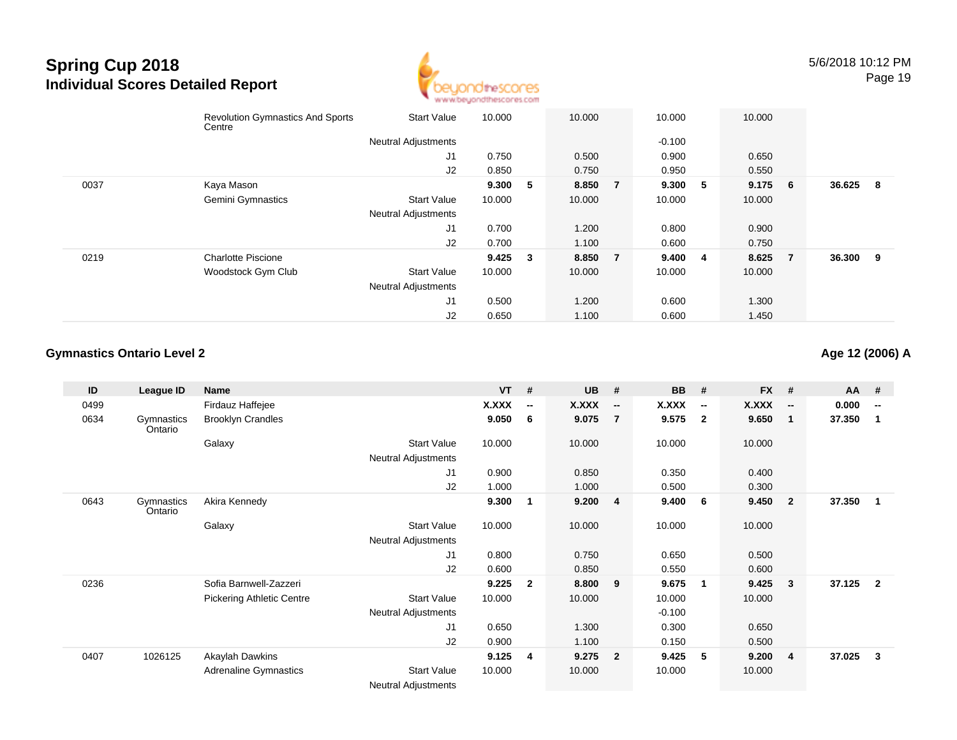

|      | <b>Revolution Gymnastics And Sports</b><br>Centre | <b>Start Value</b>         | 10.000 |              | 10.000 |     | 10.000   |    | 10.000 |                |        |   |
|------|---------------------------------------------------|----------------------------|--------|--------------|--------|-----|----------|----|--------|----------------|--------|---|
|      |                                                   | <b>Neutral Adjustments</b> |        |              |        |     | $-0.100$ |    |        |                |        |   |
|      |                                                   | J1                         | 0.750  |              | 0.500  |     | 0.900    |    | 0.650  |                |        |   |
|      |                                                   | J2                         | 0.850  |              | 0.750  |     | 0.950    |    | 0.550  |                |        |   |
| 0037 | Kaya Mason                                        |                            | 9.300  | -5           | 8.850  | - 7 | 9.300    | -5 | 9.175  | 6              | 36.625 | 8 |
|      | Gemini Gymnastics                                 | <b>Start Value</b>         | 10.000 |              | 10.000 |     | 10.000   |    | 10.000 |                |        |   |
|      |                                                   | <b>Neutral Adjustments</b> |        |              |        |     |          |    |        |                |        |   |
|      |                                                   | J <sub>1</sub>             | 0.700  |              | 1.200  |     | 0.800    |    | 0.900  |                |        |   |
|      |                                                   | J2                         | 0.700  |              | 1.100  |     | 0.600    |    | 0.750  |                |        |   |
| 0219 | <b>Charlotte Piscione</b>                         |                            | 9.425  | $\mathbf{3}$ | 8.850  | - 7 | 9.400    | -4 | 8.625  | $\overline{7}$ | 36.300 | 9 |
|      | Woodstock Gym Club                                | <b>Start Value</b>         | 10.000 |              | 10.000 |     | 10.000   |    | 10.000 |                |        |   |
|      |                                                   | <b>Neutral Adjustments</b> |        |              |        |     |          |    |        |                |        |   |
|      |                                                   | J <sub>1</sub>             | 0.500  |              | 1.200  |     | 0.600    |    | 1.300  |                |        |   |
|      |                                                   | J2                         | 0.650  |              | 1.100  |     | 0.600    |    | 1.450  |                |        |   |

#### **Gymnastics Ontario Level 2Age 12 (2006) A**

| ID   | League ID             | Name                             |                                           | $VT$ # |                          | <b>UB</b> | #                        | <b>BB</b> | #                        | <b>FX</b> | #                        | AA     | #                        |
|------|-----------------------|----------------------------------|-------------------------------------------|--------|--------------------------|-----------|--------------------------|-----------|--------------------------|-----------|--------------------------|--------|--------------------------|
| 0499 |                       | Firdauz Haffejee                 |                                           | X.XXX  | $\overline{\phantom{a}}$ | X.XXX     | $\overline{\phantom{a}}$ | X.XXX     | $\overline{\phantom{a}}$ | X.XXX     | $\overline{\phantom{a}}$ | 0.000  | $\overline{\phantom{a}}$ |
| 0634 | Gymnastics<br>Ontario | <b>Brooklyn Crandles</b>         |                                           | 9.050  | 6                        | 9.075     | $\overline{7}$           | 9.575     | $\overline{2}$           | 9.650     | $\blacksquare$           | 37.350 | -1                       |
|      |                       | Galaxy                           | Start Value<br>Neutral Adjustments        | 10.000 |                          | 10.000    |                          | 10.000    |                          | 10.000    |                          |        |                          |
|      |                       |                                  | J <sub>1</sub>                            | 0.900  |                          | 0.850     |                          | 0.350     |                          | 0.400     |                          |        |                          |
|      |                       |                                  | J2                                        | 1.000  |                          | 1.000     |                          | 0.500     |                          | 0.300     |                          |        |                          |
| 0643 | Gymnastics<br>Ontario | Akira Kennedy                    |                                           | 9.300  | 1                        | 9.200     | 4                        | 9.400     | 6                        | 9.450     | $\overline{\mathbf{2}}$  | 37.350 | $\mathbf{1}$             |
|      |                       | Galaxy                           | <b>Start Value</b>                        | 10.000 |                          | 10.000    |                          | 10.000    |                          | 10.000    |                          |        |                          |
|      |                       |                                  | Neutral Adjustments                       |        |                          |           |                          |           |                          |           |                          |        |                          |
|      |                       |                                  | J1                                        | 0.800  |                          | 0.750     |                          | 0.650     |                          | 0.500     |                          |        |                          |
|      |                       |                                  | J2                                        | 0.600  |                          | 0.850     |                          | 0.550     |                          | 0.600     |                          |        |                          |
| 0236 |                       | Sofia Barnwell-Zazzeri           |                                           | 9.225  | $\overline{2}$           | 8.800     | 9                        | 9.675     | $\overline{1}$           | 9.425     | $\mathbf{3}$             | 37.125 | $\overline{2}$           |
|      |                       | <b>Pickering Athletic Centre</b> | <b>Start Value</b>                        | 10.000 |                          | 10.000    |                          | 10.000    |                          | 10.000    |                          |        |                          |
|      |                       |                                  | Neutral Adjustments                       |        |                          |           |                          | $-0.100$  |                          |           |                          |        |                          |
|      |                       |                                  | J <sub>1</sub>                            | 0.650  |                          | 1.300     |                          | 0.300     |                          | 0.650     |                          |        |                          |
|      |                       |                                  | J2                                        | 0.900  |                          | 1.100     |                          | 0.150     |                          | 0.500     |                          |        |                          |
| 0407 | 1026125               | Akaylah Dawkins                  |                                           | 9.125  | 4                        | 9.275     | $\overline{2}$           | 9.425     | 5                        | 9.200     | $\overline{4}$           | 37.025 | 3                        |
|      |                       | <b>Adrenaline Gymnastics</b>     | <b>Start Value</b><br>Noutral Adjustments | 10.000 |                          | 10.000    |                          | 10.000    |                          | 10.000    |                          |        |                          |
|      |                       |                                  |                                           |        |                          |           |                          |           |                          |           |                          |        |                          |

Neutral Adjustments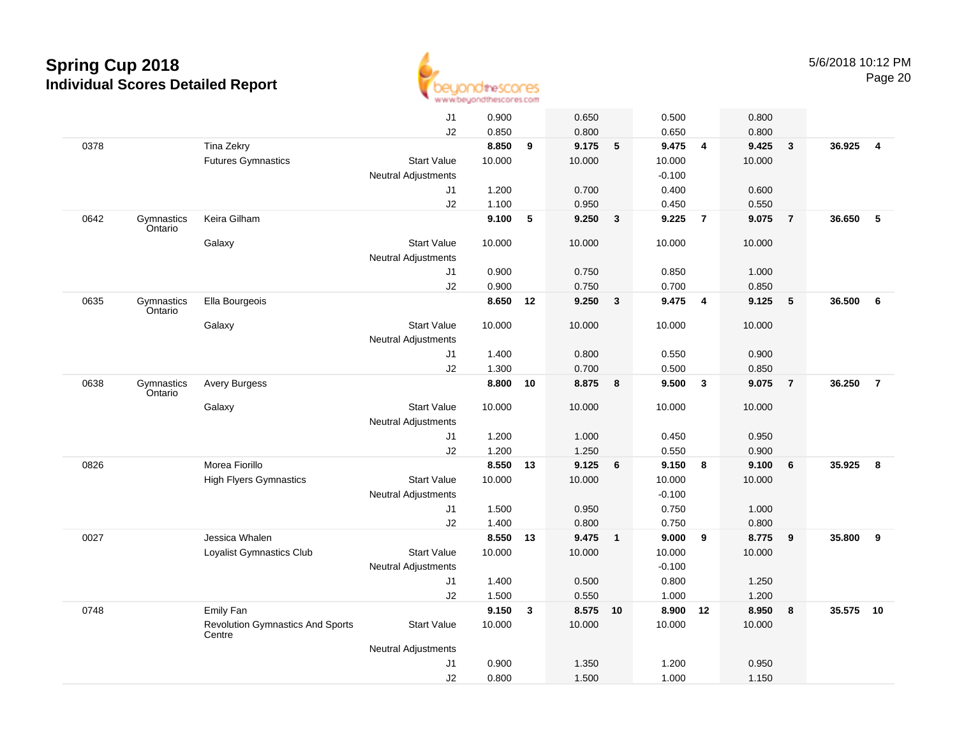

|      |                       |                                                   | J1                         | 0.900    |    | 0.650    |                | 0.500    |                         | 0.800  |                |           |                |
|------|-----------------------|---------------------------------------------------|----------------------------|----------|----|----------|----------------|----------|-------------------------|--------|----------------|-----------|----------------|
|      |                       |                                                   | J2                         | 0.850    |    | 0.800    |                | 0.650    |                         | 0.800  |                |           |                |
| 0378 |                       | Tina Zekry                                        |                            | 8.850    | 9  | 9.175    | 5              | 9.475    | $\overline{4}$          | 9.425  | $\mathbf{3}$   | 36.925    | $\overline{4}$ |
|      |                       | <b>Futures Gymnastics</b>                         | <b>Start Value</b>         | 10.000   |    | 10.000   |                | 10.000   |                         | 10.000 |                |           |                |
|      |                       |                                                   | Neutral Adjustments        |          |    |          |                | $-0.100$ |                         |        |                |           |                |
|      |                       |                                                   | J1                         | 1.200    |    | 0.700    |                | 0.400    |                         | 0.600  |                |           |                |
|      |                       |                                                   | J2                         | 1.100    |    | 0.950    |                | 0.450    |                         | 0.550  |                |           |                |
| 0642 | Gymnastics<br>Ontario | Keira Gilham                                      |                            | 9.100    | 5  | 9.250    | $\mathbf{3}$   | 9.225    | $\overline{7}$          | 9.075  | $\overline{7}$ | 36.650    | 5              |
|      |                       | Galaxy                                            | <b>Start Value</b>         | 10.000   |    | 10.000   |                | 10.000   |                         | 10.000 |                |           |                |
|      |                       |                                                   | Neutral Adjustments        |          |    |          |                |          |                         |        |                |           |                |
|      |                       |                                                   | J1                         | 0.900    |    | 0.750    |                | 0.850    |                         | 1.000  |                |           |                |
|      |                       |                                                   | J2                         | 0.900    |    | 0.750    |                | 0.700    |                         | 0.850  |                |           |                |
| 0635 | Gymnastics<br>Ontario | Ella Bourgeois                                    |                            | 8.650 12 |    | 9.250    | $\mathbf{3}$   | 9.475    | $\overline{4}$          | 9.125  | - 5            | 36.500    | 6              |
|      |                       | Galaxy                                            | <b>Start Value</b>         | 10.000   |    | 10.000   |                | 10.000   |                         | 10.000 |                |           |                |
|      |                       |                                                   | <b>Neutral Adjustments</b> |          |    |          |                |          |                         |        |                |           |                |
|      |                       |                                                   | J1                         | 1.400    |    | 0.800    |                | 0.550    |                         | 0.900  |                |           |                |
|      |                       |                                                   | J2                         | 1.300    |    | 0.700    |                | 0.500    |                         | 0.850  |                |           |                |
| 0638 | Gymnastics<br>Ontario | <b>Avery Burgess</b>                              |                            | 8.800    | 10 | 8.875    | 8              | 9.500    | $\overline{\mathbf{3}}$ | 9.075  | $\overline{7}$ | 36.250    | $\overline{7}$ |
|      |                       | Galaxy                                            | <b>Start Value</b>         | 10.000   |    | 10.000   |                | 10.000   |                         | 10.000 |                |           |                |
|      |                       |                                                   | <b>Neutral Adjustments</b> |          |    |          |                |          |                         |        |                |           |                |
|      |                       |                                                   | J1                         | 1.200    |    | 1.000    |                | 0.450    |                         | 0.950  |                |           |                |
|      |                       |                                                   | J2                         | 1.200    |    | 1.250    |                | 0.550    |                         | 0.900  |                |           |                |
| 0826 |                       | Morea Fiorillo                                    |                            | 8.550    | 13 | 9.125    | 6              | 9.150    | 8                       | 9.100  | 6              | 35.925    | 8              |
|      |                       | <b>High Flyers Gymnastics</b>                     | <b>Start Value</b>         | 10.000   |    | 10.000   |                | 10.000   |                         | 10.000 |                |           |                |
|      |                       |                                                   | Neutral Adjustments        |          |    |          |                | $-0.100$ |                         |        |                |           |                |
|      |                       |                                                   | J1                         | 1.500    |    | 0.950    |                | 0.750    |                         | 1.000  |                |           |                |
|      |                       |                                                   | J2                         | 1.400    |    | 0.800    |                | 0.750    |                         | 0.800  |                |           |                |
| 0027 |                       | Jessica Whalen                                    |                            | 8.550    | 13 | 9.475    | $\overline{1}$ | 9.000    | - 9                     | 8.775  | 9              | 35.800    | 9              |
|      |                       | Loyalist Gymnastics Club                          | <b>Start Value</b>         | 10.000   |    | 10.000   |                | 10.000   |                         | 10.000 |                |           |                |
|      |                       |                                                   | Neutral Adjustments        |          |    |          |                | $-0.100$ |                         |        |                |           |                |
|      |                       |                                                   | J1                         | 1.400    |    | 0.500    |                | 0.800    |                         | 1.250  |                |           |                |
|      |                       |                                                   | J2                         | 1.500    |    | 0.550    |                | 1.000    |                         | 1.200  |                |           |                |
| 0748 |                       | Emily Fan                                         |                            | 9.150    | 3  | 8.575 10 |                | 8.900    | 12                      | 8.950  | 8              | 35.575 10 |                |
|      |                       | <b>Revolution Gymnastics And Sports</b><br>Centre | <b>Start Value</b>         | 10.000   |    | 10.000   |                | 10.000   |                         | 10.000 |                |           |                |
|      |                       |                                                   | Neutral Adjustments        |          |    |          |                |          |                         |        |                |           |                |
|      |                       |                                                   | J1                         | 0.900    |    | 1.350    |                | 1.200    |                         | 0.950  |                |           |                |
|      |                       |                                                   | J2                         | 0.800    |    | 1.500    |                | 1.000    |                         | 1.150  |                |           |                |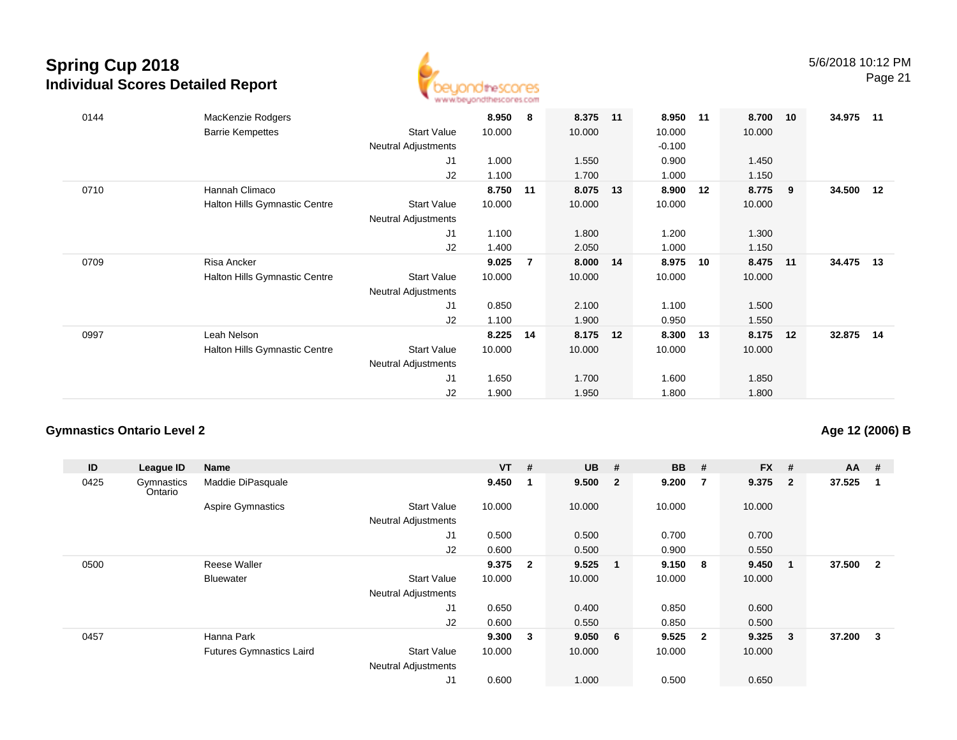

| 0144 | MacKenzie Rodgers<br><b>Barrie Kempettes</b>    | <b>Start Value</b><br><b>Neutral Adjustments</b><br>J1<br>J2                         | 8.950<br>10.000<br>1.000<br>1.100 | - 8            | 8.375<br>10.000<br>1.550<br>1.700    | $-11$ | 8.950<br>10.000<br>$-0.100$<br>0.900<br>1.000 | 11  | 8.700<br>10.000<br>1.450<br>1.150 | 10 | 34.975 | 11 |
|------|-------------------------------------------------|--------------------------------------------------------------------------------------|-----------------------------------|----------------|--------------------------------------|-------|-----------------------------------------------|-----|-----------------------------------|----|--------|----|
| 0710 | Hannah Climaco<br>Halton Hills Gymnastic Centre | <b>Start Value</b><br><b>Neutral Adjustments</b><br>J1<br>J2                         | 8.750<br>10.000<br>1.100<br>1.400 | 11             | 8.075<br>10.000<br>1.800<br>2.050    | 13    | 8.900<br>10.000<br>1.200<br>1.000             | 12  | 8.775<br>10.000<br>1.300<br>1.150 | 9  | 34.500 | 12 |
| 0709 | Risa Ancker<br>Halton Hills Gymnastic Centre    | <b>Start Value</b><br><b>Neutral Adjustments</b><br>J1<br>J2                         | 9.025<br>10.000<br>0.850<br>1.100 | $\overline{7}$ | 8.000 14<br>10.000<br>2.100<br>1.900 |       | 8.975<br>10.000<br>1.100<br>0.950             | -10 | 8.475<br>10.000<br>1.500<br>1.550 | 11 | 34.475 | 13 |
| 0997 | Leah Nelson<br>Halton Hills Gymnastic Centre    | <b>Start Value</b><br><b>Neutral Adjustments</b><br>J <sub>1</sub><br>J <sub>2</sub> | 8.225<br>10.000<br>1.650<br>1.900 | 14             | 8.175<br>10.000<br>1.700<br>1.950    | 12    | 8.300<br>10.000<br>1.600<br>1.800             | 13  | 8.175<br>10.000<br>1.850<br>1.800 | 12 | 32.875 | 14 |

#### **Gymnastics Ontario Level 2**

#### **Age 12 (2006) B**

| ID   | League ID             | Name                            |                            | $VT$ # |              | <b>UB</b> | - #                     | <b>BB</b> | #              | <b>FX</b> | #              | $AA$ # |                |
|------|-----------------------|---------------------------------|----------------------------|--------|--------------|-----------|-------------------------|-----------|----------------|-----------|----------------|--------|----------------|
| 0425 | Gymnastics<br>Ontario | Maddie DiPasquale               |                            | 9.450  |              | 9.500     | $\overline{\mathbf{2}}$ | 9.200     | -7             | 9.375     | $\overline{2}$ | 37.525 |                |
|      |                       | <b>Aspire Gymnastics</b>        | <b>Start Value</b>         | 10.000 |              | 10.000    |                         | 10.000    |                | 10.000    |                |        |                |
|      |                       |                                 | <b>Neutral Adjustments</b> |        |              |           |                         |           |                |           |                |        |                |
|      |                       |                                 | J1                         | 0.500  |              | 0.500     |                         | 0.700     |                | 0.700     |                |        |                |
|      |                       |                                 | J2                         | 0.600  |              | 0.500     |                         | 0.900     |                | 0.550     |                |        |                |
| 0500 |                       | <b>Reese Waller</b>             |                            | 9.375  | $\mathbf{2}$ | 9.525     | - 1                     | 9.150     | - 8            | 9.450     |                | 37.500 | $\overline{2}$ |
|      |                       | <b>Bluewater</b>                | <b>Start Value</b>         | 10.000 |              | 10.000    |                         | 10.000    |                | 10.000    |                |        |                |
|      |                       |                                 | <b>Neutral Adjustments</b> |        |              |           |                         |           |                |           |                |        |                |
|      |                       |                                 | J <sub>1</sub>             | 0.650  |              | 0.400     |                         | 0.850     |                | 0.600     |                |        |                |
|      |                       |                                 | J2                         | 0.600  |              | 0.550     |                         | 0.850     |                | 0.500     |                |        |                |
| 0457 |                       | Hanna Park                      |                            | 9.300  | 3            | 9.050     | - 6                     | 9.525     | $\overline{2}$ | 9.325     | 3              | 37.200 | 3              |
|      |                       | <b>Futures Gymnastics Laird</b> | <b>Start Value</b>         | 10.000 |              | 10.000    |                         | 10.000    |                | 10.000    |                |        |                |
|      |                       |                                 | <b>Neutral Adjustments</b> |        |              |           |                         |           |                |           |                |        |                |
|      |                       |                                 | J1                         | 0.600  |              | 1.000     |                         | 0.500     |                | 0.650     |                |        |                |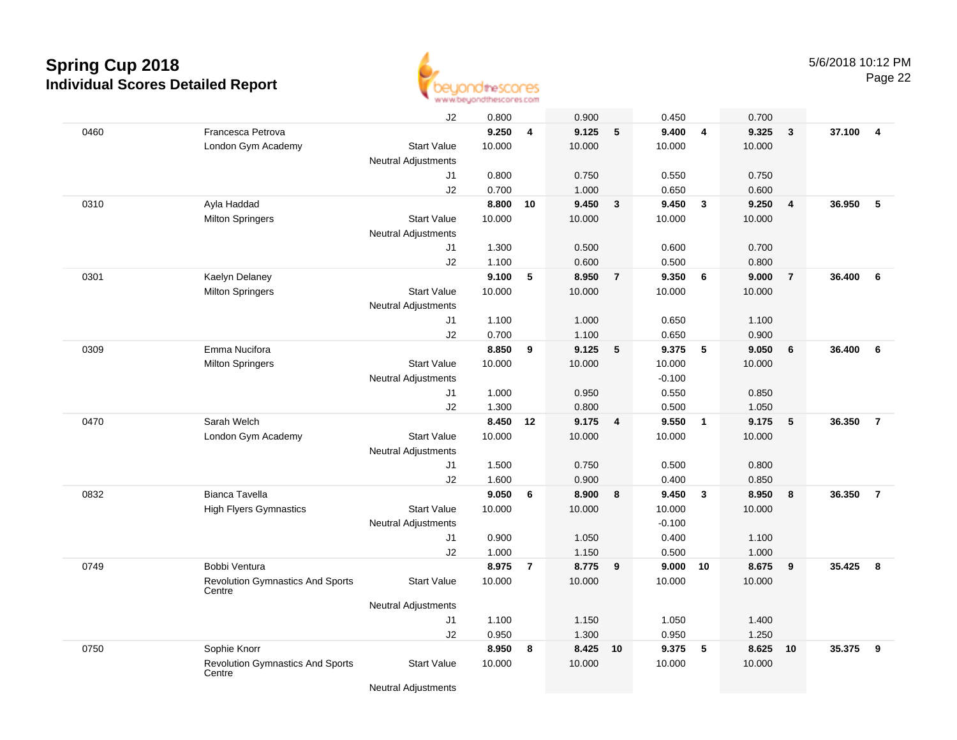

|      |                                                   | J2                         | 0.800  |                | 0.900  |                | 0.450    |                         | 0.700  |                |        |                |
|------|---------------------------------------------------|----------------------------|--------|----------------|--------|----------------|----------|-------------------------|--------|----------------|--------|----------------|
| 0460 | Francesca Petrova                                 |                            | 9.250  | 4              | 9.125  | 5              | 9.400    | $\overline{4}$          | 9.325  | $\mathbf{3}$   | 37.100 | 4              |
|      | London Gym Academy                                | <b>Start Value</b>         | 10.000 |                | 10.000 |                | 10.000   |                         | 10.000 |                |        |                |
|      |                                                   | <b>Neutral Adjustments</b> |        |                |        |                |          |                         |        |                |        |                |
|      |                                                   | J1                         | 0.800  |                | 0.750  |                | 0.550    |                         | 0.750  |                |        |                |
|      |                                                   | J2                         | 0.700  |                | 1.000  |                | 0.650    |                         | 0.600  |                |        |                |
| 0310 | Ayla Haddad                                       |                            | 8.800  | 10             | 9.450  | $\overline{3}$ | 9.450    | $\overline{\mathbf{3}}$ | 9.250  | $\overline{4}$ | 36.950 | 5              |
|      | <b>Milton Springers</b>                           | <b>Start Value</b>         | 10.000 |                | 10.000 |                | 10.000   |                         | 10.000 |                |        |                |
|      |                                                   | <b>Neutral Adjustments</b> |        |                |        |                |          |                         |        |                |        |                |
|      |                                                   | J1                         | 1.300  |                | 0.500  |                | 0.600    |                         | 0.700  |                |        |                |
|      |                                                   | J2                         | 1.100  |                | 0.600  |                | 0.500    |                         | 0.800  |                |        |                |
| 0301 | Kaelyn Delaney                                    |                            | 9.100  | 5              | 8.950  | $\overline{7}$ | 9.350    | 6                       | 9.000  | $\overline{7}$ | 36.400 | 6              |
|      | <b>Milton Springers</b>                           | <b>Start Value</b>         | 10.000 |                | 10.000 |                | 10.000   |                         | 10.000 |                |        |                |
|      |                                                   | <b>Neutral Adjustments</b> |        |                |        |                |          |                         |        |                |        |                |
|      |                                                   | J1                         | 1.100  |                | 1.000  |                | 0.650    |                         | 1.100  |                |        |                |
|      |                                                   | J2                         | 0.700  |                | 1.100  |                | 0.650    |                         | 0.900  |                |        |                |
| 0309 | Emma Nucifora                                     |                            | 8.850  | 9              | 9.125  | 5              | 9.375    | 5                       | 9.050  | 6              | 36,400 | 6              |
|      | <b>Milton Springers</b>                           | <b>Start Value</b>         | 10.000 |                | 10.000 |                | 10.000   |                         | 10.000 |                |        |                |
|      |                                                   | <b>Neutral Adjustments</b> |        |                |        |                | $-0.100$ |                         |        |                |        |                |
|      |                                                   | J1                         | 1.000  |                | 0.950  |                | 0.550    |                         | 0.850  |                |        |                |
|      |                                                   | J2                         | 1.300  |                | 0.800  |                | 0.500    |                         | 1.050  |                |        |                |
| 0470 | Sarah Welch                                       |                            | 8.450  | 12             | 9.175  | 4              | 9.550    | $\overline{1}$          | 9.175  | 5              | 36.350 | $\overline{7}$ |
|      | London Gym Academy                                | <b>Start Value</b>         | 10.000 |                | 10.000 |                | 10.000   |                         | 10.000 |                |        |                |
|      |                                                   | Neutral Adjustments        |        |                |        |                |          |                         |        |                |        |                |
|      |                                                   | J1                         | 1.500  |                | 0.750  |                | 0.500    |                         | 0.800  |                |        |                |
|      |                                                   | J2                         | 1.600  |                | 0.900  |                | 0.400    |                         | 0.850  |                |        |                |
| 0832 | <b>Bianca Tavella</b>                             |                            | 9.050  | 6              | 8.900  | 8              | 9.450    | $\overline{\mathbf{3}}$ | 8.950  | 8              | 36.350 | $\overline{7}$ |
|      | <b>High Flyers Gymnastics</b>                     | <b>Start Value</b>         | 10.000 |                | 10.000 |                | 10.000   |                         | 10.000 |                |        |                |
|      |                                                   | <b>Neutral Adjustments</b> |        |                |        |                | $-0.100$ |                         |        |                |        |                |
|      |                                                   | J1                         | 0.900  |                | 1.050  |                | 0.400    |                         | 1.100  |                |        |                |
|      |                                                   | J2                         | 1.000  |                | 1.150  |                | 0.500    |                         | 1.000  |                |        |                |
| 0749 | Bobbi Ventura                                     |                            | 8.975  | $\overline{7}$ | 8.775  | 9              | 9.000    | 10                      | 8.675  | 9              | 35.425 | 8              |
|      | <b>Revolution Gymnastics And Sports</b><br>Centre | <b>Start Value</b>         | 10.000 |                | 10.000 |                | 10.000   |                         | 10.000 |                |        |                |
|      |                                                   | <b>Neutral Adjustments</b> |        |                |        |                |          |                         |        |                |        |                |
|      |                                                   | J1                         | 1.100  |                | 1.150  |                | 1.050    |                         | 1.400  |                |        |                |
|      |                                                   | J2                         | 0.950  |                | 1.300  |                | 0.950    |                         | 1.250  |                |        |                |
| 0750 | Sophie Knorr                                      |                            | 8.950  | 8              | 8.425  | 10             | 9.375    | 5                       | 8.625  | 10             | 35.375 | 9              |
|      | <b>Revolution Gymnastics And Sports</b><br>Centre | <b>Start Value</b>         | 10.000 |                | 10.000 |                | 10.000   |                         | 10.000 |                |        |                |

Neutral Adjustments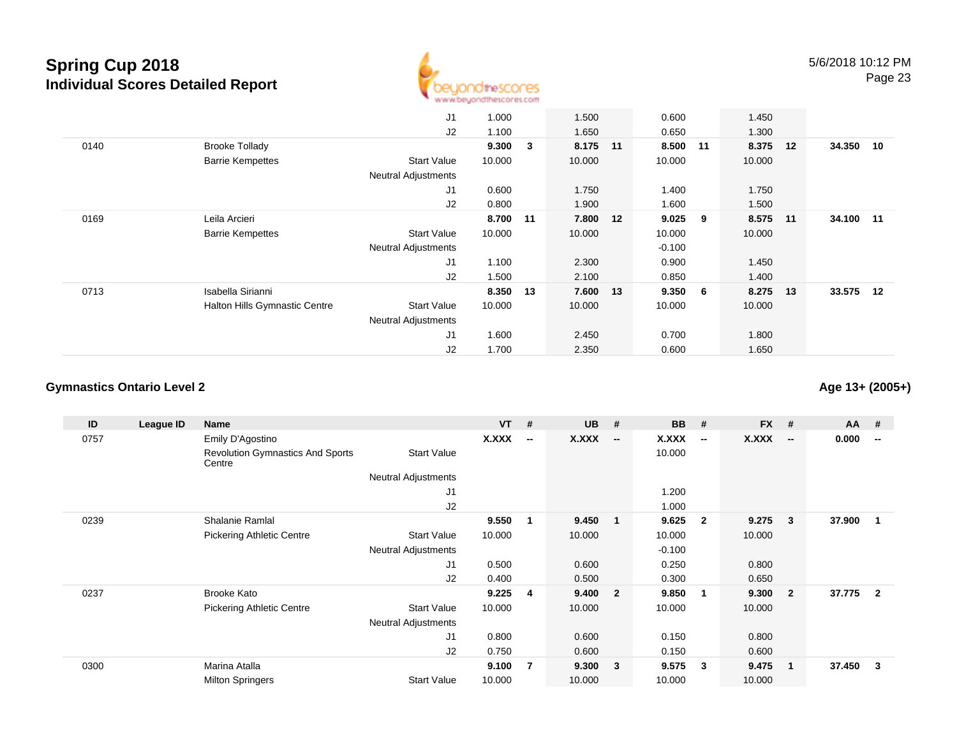

|      |                                      | J1                         | 1.000  |    | 1.500    | 0.600    |                  | 1.450    |    |           |       |
|------|--------------------------------------|----------------------------|--------|----|----------|----------|------------------|----------|----|-----------|-------|
|      |                                      | J2                         | 1.100  |    | 1.650    | 0.650    |                  | 1.300    |    |           |       |
| 0140 | <b>Brooke Tollady</b>                |                            | 9.300  | 3  | 8.175 11 | 8.500 11 |                  | 8.375    | 12 | 34.350 10 |       |
|      | <b>Barrie Kempettes</b>              | <b>Start Value</b>         | 10.000 |    | 10.000   | 10.000   |                  | 10.000   |    |           |       |
|      |                                      | <b>Neutral Adjustments</b> |        |    |          |          |                  |          |    |           |       |
|      |                                      | J1                         | 0.600  |    | 1.750    | 1.400    |                  | 1.750    |    |           |       |
|      |                                      | J2                         | 0.800  |    | 1.900    | 1.600    |                  | 1.500    |    |           |       |
| 0169 | Leila Arcieri                        |                            | 8.700  | 11 | 7.800 12 | 9.025    | 9                | 8.575 11 |    | 34.100    | $-11$ |
|      | <b>Barrie Kempettes</b>              | <b>Start Value</b>         | 10.000 |    | 10.000   | 10.000   |                  | 10.000   |    |           |       |
|      |                                      | <b>Neutral Adjustments</b> |        |    |          | $-0.100$ |                  |          |    |           |       |
|      |                                      | J1                         | 1.100  |    | 2.300    | 0.900    |                  | 1.450    |    |           |       |
|      |                                      | J2                         | 1.500  |    | 2.100    | 0.850    |                  | 1.400    |    |           |       |
| 0713 | Isabella Sirianni                    |                            | 8.350  | 13 | 7.600 13 | 9.350    | $6\phantom{.0}6$ | 8.275    | 13 | 33.575    | 12    |
|      | <b>Halton Hills Gymnastic Centre</b> | <b>Start Value</b>         | 10.000 |    | 10.000   | 10.000   |                  | 10.000   |    |           |       |
|      |                                      | <b>Neutral Adjustments</b> |        |    |          |          |                  |          |    |           |       |
|      |                                      | J <sub>1</sub>             | 1.600  |    | 2.450    | 0.700    |                  | 1.800    |    |           |       |
|      |                                      | J2                         | 1.700  |    | 2.350    | 0.600    |                  | 1.650    |    |           |       |

#### **Gymnastics Ontario Level 2**

**ID League ID Name VT # UB # BB # FX # AA #** 0757 Emily D'Agostino **X.XXX -- X.XXX -- X.XXX -- X.XXX -- 0.000 --** Revolution Gymnastics And Sports**Centre** Start Valuee 10.000 Neutral Adjustments J1 1.200 J2 1.000 0239 Shalanie Ramlal **9.550 <sup>1</sup> 9.450 <sup>1</sup> 9.625 <sup>2</sup> 9.275 <sup>3</sup> 37.900 <sup>1</sup>** Pickering Athletic Centre Start Value 10.000 10.000 10.000 10.000 Neutral Adjustments $-0.100$ 0.250 J1 0.500 0.600 0.250 0.800 J2 0.400 0.500 0.300 0.650 0237 Brooke Kato **9.225 <sup>4</sup> 9.400 <sup>2</sup> 9.850 <sup>1</sup> 9.300 <sup>2</sup> 37.775 <sup>2</sup>** Pickering Athletic Centre Start Value 10.000 10.000 10.000 10.000 Neutral Adjustments J1 0.800 0.600 0.150 0.800 J2 0.750 0.600 0.150 0.600 0300 Marina Atalla **9.100 <sup>7</sup> 9.300 <sup>3</sup> 9.575 <sup>3</sup> 9.475 <sup>1</sup> 37.450 <sup>3</sup>** Milton Springers Start Valuee 10.000 10.000 10.000 10.000

**Age 13+ (2005+)**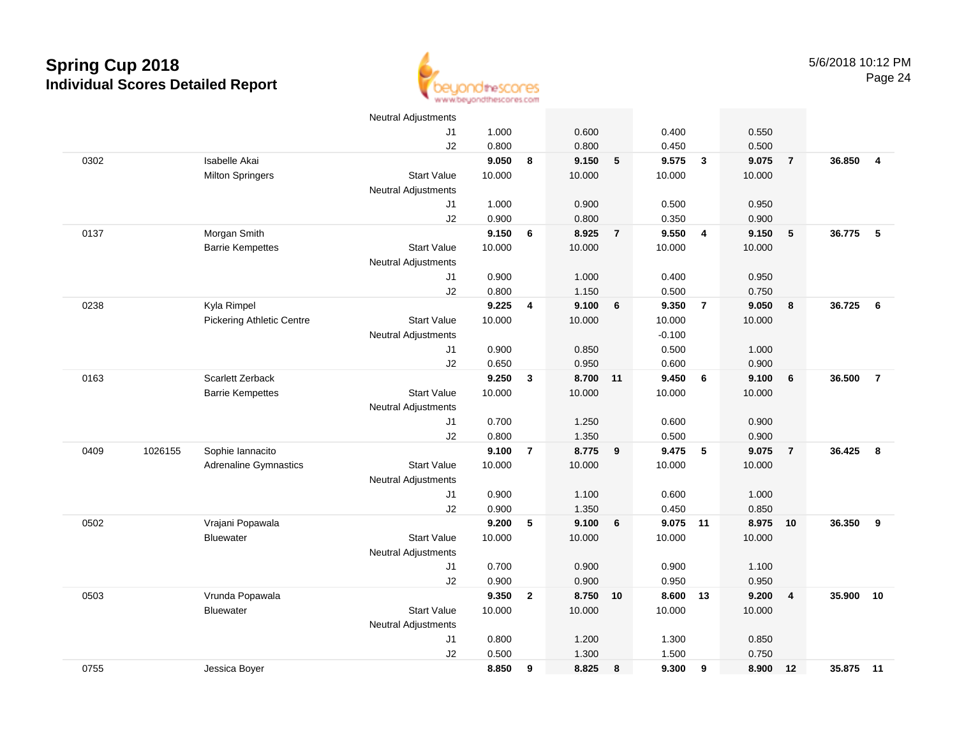

|      |         |                                  | <b>Neutral Adjustments</b> |        |                |          |                |          |                |        |                |        |                |
|------|---------|----------------------------------|----------------------------|--------|----------------|----------|----------------|----------|----------------|--------|----------------|--------|----------------|
|      |         |                                  | J1                         | 1.000  |                | 0.600    |                | 0.400    |                | 0.550  |                |        |                |
|      |         |                                  | J2                         | 0.800  |                | 0.800    |                | 0.450    |                | 0.500  |                |        |                |
| 0302 |         | Isabelle Akai                    |                            | 9.050  | 8              | 9.150    | 5              | 9.575    | $\mathbf{3}$   | 9.075  | $\overline{7}$ | 36.850 | $\overline{4}$ |
|      |         | <b>Milton Springers</b>          | <b>Start Value</b>         | 10.000 |                | 10.000   |                | 10.000   |                | 10.000 |                |        |                |
|      |         |                                  | <b>Neutral Adjustments</b> |        |                |          |                |          |                |        |                |        |                |
|      |         |                                  | J1                         | 1.000  |                | 0.900    |                | 0.500    |                | 0.950  |                |        |                |
|      |         |                                  | J2                         | 0.900  |                | 0.800    |                | 0.350    |                | 0.900  |                |        |                |
| 0137 |         | Morgan Smith                     |                            | 9.150  | 6              | 8.925    | $\overline{7}$ | 9.550    | $\overline{4}$ | 9.150  | 5              | 36.775 | $-5$           |
|      |         | <b>Barrie Kempettes</b>          | <b>Start Value</b>         | 10.000 |                | 10.000   |                | 10.000   |                | 10.000 |                |        |                |
|      |         |                                  | <b>Neutral Adjustments</b> |        |                |          |                |          |                |        |                |        |                |
|      |         |                                  | J1                         | 0.900  |                | 1.000    |                | 0.400    |                | 0.950  |                |        |                |
|      |         |                                  | J2                         | 0.800  |                | 1.150    |                | 0.500    |                | 0.750  |                |        |                |
| 0238 |         | Kyla Rimpel                      |                            | 9.225  | 4              | 9.100    | 6              | 9.350    | $\overline{7}$ | 9.050  | 8              | 36.725 | 6              |
|      |         | <b>Pickering Athletic Centre</b> | <b>Start Value</b>         | 10.000 |                | 10.000   |                | 10.000   |                | 10.000 |                |        |                |
|      |         |                                  | <b>Neutral Adjustments</b> |        |                |          |                | $-0.100$ |                |        |                |        |                |
|      |         |                                  | J1                         | 0.900  |                | 0.850    |                | 0.500    |                | 1.000  |                |        |                |
|      |         |                                  | J2                         | 0.650  |                | 0.950    |                | 0.600    |                | 0.900  |                |        |                |
| 0163 |         | <b>Scarlett Zerback</b>          |                            | 9.250  | $\mathbf{3}$   | 8.700 11 |                | 9.450    | 6              | 9.100  | 6              | 36.500 | $\overline{7}$ |
|      |         | <b>Barrie Kempettes</b>          | <b>Start Value</b>         | 10.000 |                | 10.000   |                | 10.000   |                | 10.000 |                |        |                |
|      |         |                                  | <b>Neutral Adjustments</b> |        |                |          |                |          |                |        |                |        |                |
|      |         |                                  | J1                         | 0.700  |                | 1.250    |                | 0.600    |                | 0.900  |                |        |                |
|      |         |                                  | J2                         | 0.800  |                | 1.350    |                | 0.500    |                | 0.900  |                |        |                |
| 0409 | 1026155 | Sophie Iannacito                 |                            | 9.100  | $\overline{7}$ | 8.775    | 9              | 9.475    | 5              | 9.075  | $\overline{7}$ | 36.425 | 8              |
|      |         | <b>Adrenaline Gymnastics</b>     | <b>Start Value</b>         | 10.000 |                | 10.000   |                | 10.000   |                | 10.000 |                |        |                |
|      |         |                                  | <b>Neutral Adjustments</b> |        |                |          |                |          |                |        |                |        |                |
|      |         |                                  | J1                         | 0.900  |                | 1.100    |                | 0.600    |                | 1.000  |                |        |                |
|      |         |                                  | J <sub>2</sub>             | 0.900  |                | 1.350    |                | 0.450    |                | 0.850  |                |        |                |
| 0502 |         | Vrajani Popawala                 |                            | 9.200  | $\sqrt{5}$     | 9.100    | 6              | 9.075 11 |                | 8.975  | 10             | 36.350 | 9              |
|      |         | <b>Bluewater</b>                 | <b>Start Value</b>         | 10.000 |                | 10.000   |                | 10.000   |                | 10.000 |                |        |                |
|      |         |                                  | Neutral Adjustments        |        |                |          |                |          |                |        |                |        |                |
|      |         |                                  | J1                         | 0.700  |                | 0.900    |                | 0.900    |                | 1.100  |                |        |                |
|      |         |                                  | J2                         | 0.900  |                | 0.900    |                | 0.950    |                | 0.950  |                |        |                |
| 0503 |         | Vrunda Popawala                  |                            | 9.350  | $\overline{2}$ | 8.750    | 10             | 8.600    | 13             | 9.200  | $\overline{4}$ | 35.900 | 10             |
|      |         | <b>Bluewater</b>                 | <b>Start Value</b>         | 10.000 |                | 10.000   |                | 10.000   |                | 10.000 |                |        |                |
|      |         |                                  | Neutral Adjustments        |        |                |          |                |          |                |        |                |        |                |
|      |         |                                  | J1                         | 0.800  |                | 1.200    |                | 1.300    |                | 0.850  |                |        |                |
|      |         |                                  | J2                         | 0.500  |                | 1.300    |                | 1.500    |                | 0.750  |                |        |                |
| 0755 |         | Jessica Boyer                    |                            | 8.850  | 9              | 8.825    | 8              | 9.300    | 9              | 8.900  | 12             | 35.875 | $-11$          |